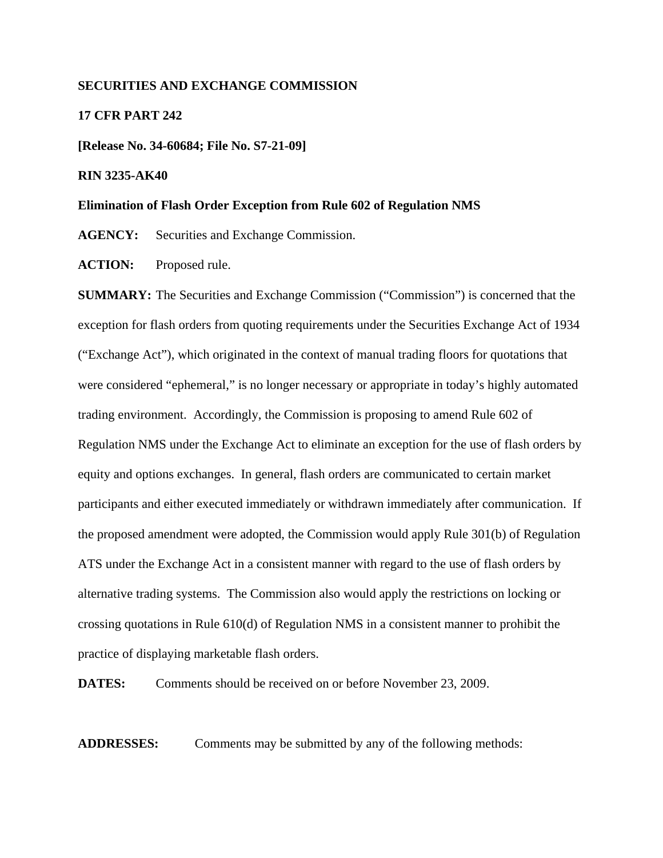#### **SECURITIES AND EXCHANGE COMMISSION**

#### **17 CFR PART 242**

**[Release No. 34-60684; File No. S7-21-09]** 

#### **RIN 3235-AK40**

#### **Elimination of Flash Order Exception from Rule 602 of Regulation NMS**

**AGENCY:** Securities and Exchange Commission.

ACTION: Proposed rule.

**SUMMARY:** The Securities and Exchange Commission ("Commission") is concerned that the exception for flash orders from quoting requirements under the Securities Exchange Act of 1934 ("Exchange Act"), which originated in the context of manual trading floors for quotations that were considered "ephemeral," is no longer necessary or appropriate in today's highly automated trading environment. Accordingly, the Commission is proposing to amend Rule 602 of Regulation NMS under the Exchange Act to eliminate an exception for the use of flash orders by equity and options exchanges. In general, flash orders are communicated to certain market participants and either executed immediately or withdrawn immediately after communication. If the proposed amendment were adopted, the Commission would apply Rule 301(b) of Regulation ATS under the Exchange Act in a consistent manner with regard to the use of flash orders by alternative trading systems. The Commission also would apply the restrictions on locking or crossing quotations in Rule 610(d) of Regulation NMS in a consistent manner to prohibit the practice of displaying marketable flash orders.

**DATES:** Comments should be received on or before November 23, 2009.

**ADDRESSES:** Comments may be submitted by any of the following methods: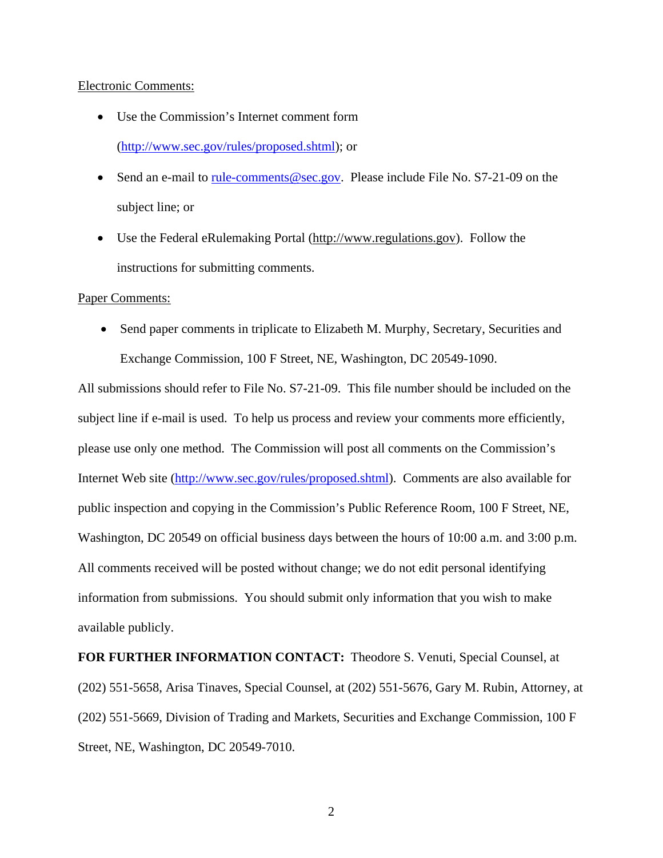#### Electronic Comments:

- Use the Commission's Internet comment form (http://www.sec.gov/rules/proposed.shtml); or
- Send an e-mail to <u>rule-comments@sec.gov</u>. Please include File No. S7-21-09 on the subject line; or
- Use the Federal eRulemaking Portal (http://www.regulations.gov). Follow the instructions for submitting comments.

## Paper Comments:

• Send paper comments in triplicate to Elizabeth M. Murphy, Secretary, Securities and Exchange Commission, 100 F Street, NE, Washington, DC 20549-1090.

All submissions should refer to File No. S7-21-09. This file number should be included on the subject line if e-mail is used. To help us process and review your comments more efficiently, please use only one method. The Commission will post all comments on the Commission's Internet Web site (http://www.sec.gov/rules/proposed.shtml). Comments are also available for public inspection and copying in the Commission's Public Reference Room, 100 F Street, NE, Washington, DC 20549 on official business days between the hours of 10:00 a.m. and 3:00 p.m. All comments received will be posted without change; we do not edit personal identifying information from submissions. You should submit only information that you wish to make available publicly.

**FOR FURTHER INFORMATION CONTACT:** Theodore S. Venuti, Special Counsel, at (202) 551-5658, Arisa Tinaves, Special Counsel, at (202) 551-5676, Gary M. Rubin, Attorney, at (202) 551-5669, Division of Trading and Markets, Securities and Exchange Commission, 100 F Street, NE, Washington, DC 20549-7010.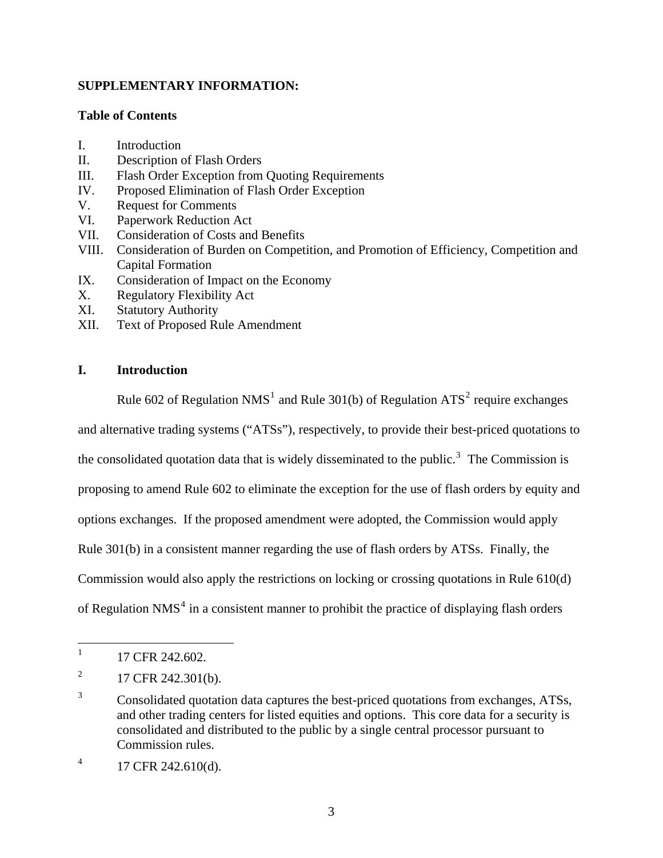# **SUPPLEMENTARY INFORMATION:**

## **Table of Contents**

- I. Introduction
- II. Description of Flash Orders
- III. Flash Order Exception from Quoting Requirements
- IV. Proposed Elimination of Flash Order Exception
- V. Request for Comments
- VI. Paperwork Reduction Act
- VII. Consideration of Costs and Benefits
- VIII. Consideration of Burden on Competition, and Promotion of Efficiency, Competition and Capital Formation
- IX. Consideration of Impact on the Economy
- X. Regulatory Flexibility Act
- XI. Statutory Authority
- XII. Text of Proposed Rule Amendment

# **I. Introduction**

Rule 602 of Regulation NMS<sup>[1](#page-2-0)</sup> and Rule 301(b) of Regulation ATS<sup>[2](#page-2-1)</sup> require exchanges

and alternative trading systems ("ATSs"), respectively, to provide their best-priced quotations to

the consolidated quotation data that is widely disseminated to the public.<sup>[3](#page-2-2)</sup> The Commission is

proposing to amend Rule 602 to eliminate the exception for the use of flash orders by equity and

options exchanges. If the proposed amendment were adopted, the Commission would apply

Rule 301(b) in a consistent manner regarding the use of flash orders by ATSs. Finally, the

Commission would also apply the restrictions on locking or crossing quotations in Rule 610(d)

of Regulation NMS<sup>[4](#page-2-3)</sup> in a consistent manner to prohibit the practice of displaying flash orders

<span id="page-2-0"></span> $\frac{1}{1}$ 17 CFR 242.602.

<span id="page-2-1"></span><sup>2</sup> 17 CFR 242.301(b).

<span id="page-2-2"></span><sup>3</sup> Consolidated quotation data captures the best-priced quotations from exchanges, ATSs, and other trading centers for listed equities and options. This core data for a security is consolidated and distributed to the public by a single central processor pursuant to Commission rules.

<span id="page-2-3"></span><sup>4</sup> 17 CFR 242.610(d).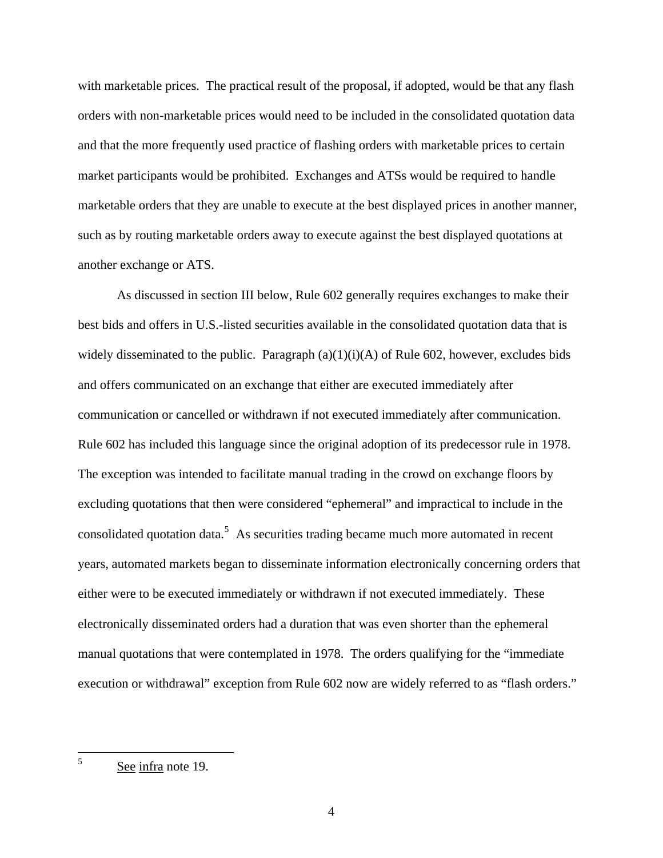with marketable prices. The practical result of the proposal, if adopted, would be that any flash orders with non-marketable prices would need to be included in the consolidated quotation data and that the more frequently used practice of flashing orders with marketable prices to certain market participants would be prohibited. Exchanges and ATSs would be required to handle marketable orders that they are unable to execute at the best displayed prices in another manner, such as by routing marketable orders away to execute against the best displayed quotations at another exchange or ATS.

 As discussed in section III below, Rule 602 generally requires exchanges to make their best bids and offers in U.S.-listed securities available in the consolidated quotation data that is widely disseminated to the public. Paragraph  $(a)(1)(i)(A)$  of Rule 602, however, excludes bids and offers communicated on an exchange that either are executed immediately after communication or cancelled or withdrawn if not executed immediately after communication. Rule 602 has included this language since the original adoption of its predecessor rule in 1978. The exception was intended to facilitate manual trading in the crowd on exchange floors by excluding quotations that then were considered "ephemeral" and impractical to include in the consolidated quotation data.<sup>[5](#page-3-0)</sup> As securities trading became much more automated in recent years, automated markets began to disseminate information electronically concerning orders that either were to be executed immediately or withdrawn if not executed immediately. These electronically disseminated orders had a duration that was even shorter than the ephemeral manual quotations that were contemplated in 1978. The orders qualifying for the "immediate execution or withdrawal" exception from Rule 602 now are widely referred to as "flash orders."

<span id="page-3-0"></span> $\frac{1}{5}$ See infra note 19.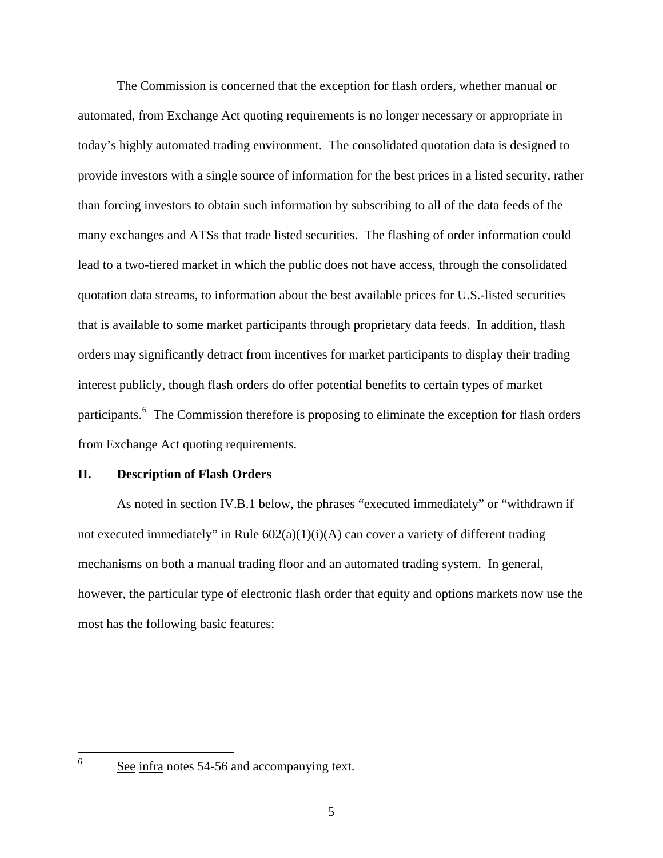The Commission is concerned that the exception for flash orders, whether manual or automated, from Exchange Act quoting requirements is no longer necessary or appropriate in today's highly automated trading environment. The consolidated quotation data is designed to provide investors with a single source of information for the best prices in a listed security, rather than forcing investors to obtain such information by subscribing to all of the data feeds of the many exchanges and ATSs that trade listed securities. The flashing of order information could lead to a two-tiered market in which the public does not have access, through the consolidated quotation data streams, to information about the best available prices for U.S.-listed securities that is available to some market participants through proprietary data feeds. In addition, flash orders may significantly detract from incentives for market participants to display their trading interest publicly, though flash orders do offer potential benefits to certain types of market participants.<sup>[6](#page-4-0)</sup> The Commission therefore is proposing to eliminate the exception for flash orders from Exchange Act quoting requirements.

## **II. Description of Flash Orders**

 As noted in section IV.B.1 below, the phrases "executed immediately" or "withdrawn if not executed immediately" in Rule  $602(a)(1)(i)(A)$  can cover a variety of different trading mechanisms on both a manual trading floor and an automated trading system. In general, however, the particular type of electronic flash order that equity and options markets now use the most has the following basic features:

<span id="page-4-0"></span>See infra notes 54-56 and accompanying text.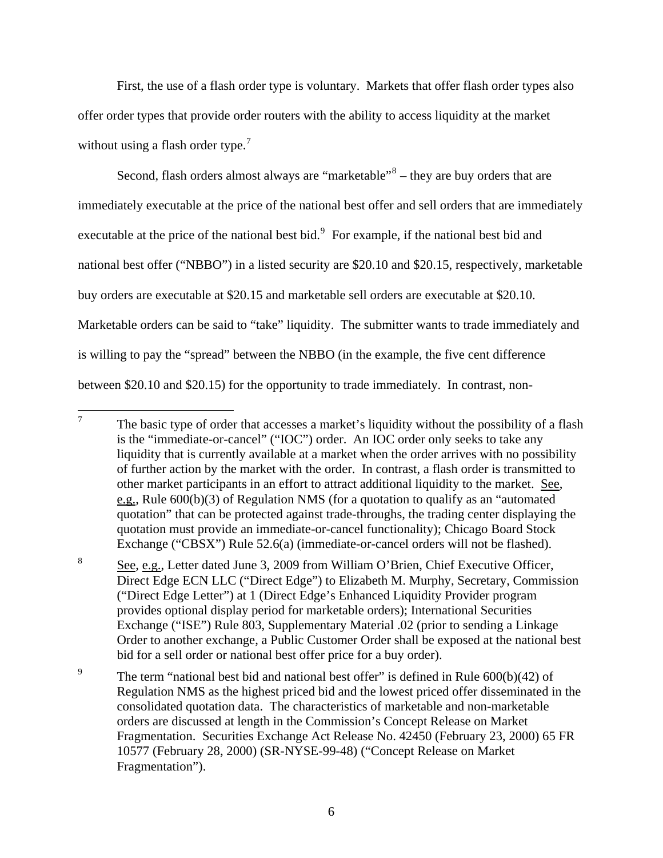First, the use of a flash order type is voluntary. Markets that offer flash order types also offer order types that provide order routers with the ability to access liquidity at the market without using a flash order type.<sup>[7](#page-5-0)</sup>

Second, flash orders almost always are "marketable" $8 8 -$  they are buy orders that are immediately executable at the price of the national best offer and sell orders that are immediately executable at the price of the national best bid. $9$  For example, if the national best bid and national best offer ("NBBO") in a listed security are \$20.10 and \$20.15, respectively, marketable buy orders are executable at \$20.15 and marketable sell orders are executable at \$20.10. Marketable orders can be said to "take" liquidity. The submitter wants to trade immediately and is willing to pay the "spread" between the NBBO (in the example, the five cent difference between \$20.10 and \$20.15) for the opportunity to trade immediately. In contrast, non-

<span id="page-5-2"></span>9 The term "national best bid and national best offer" is defined in Rule 600(b)(42) of Regulation NMS as the highest priced bid and the lowest priced offer disseminated in the consolidated quotation data. The characteristics of marketable and non-marketable orders are discussed at length in the Commission's Concept Release on Market Fragmentation. Securities Exchange Act Release No. 42450 (February 23, 2000) 65 FR 10577 (February 28, 2000) (SR-NYSE-99-48) ("Concept Release on Market Fragmentation").

<span id="page-5-0"></span><sup>7</sup>  The basic type of order that accesses a market's liquidity without the possibility of a flash is the "immediate-or-cancel" ("IOC") order. An IOC order only seeks to take any liquidity that is currently available at a market when the order arrives with no possibility of further action by the market with the order. In contrast, a flash order is transmitted to other market participants in an effort to attract additional liquidity to the market. See, e.g., Rule 600(b)(3) of Regulation NMS (for a quotation to qualify as an "automated quotation" that can be protected against trade-throughs, the trading center displaying the quotation must provide an immediate-or-cancel functionality); Chicago Board Stock Exchange ("CBSX") Rule 52.6(a) (immediate-or-cancel orders will not be flashed).

<span id="page-5-1"></span><sup>8</sup> See, e.g., Letter dated June 3, 2009 from William O'Brien, Chief Executive Officer, Direct Edge ECN LLC ("Direct Edge") to Elizabeth M. Murphy, Secretary, Commission ("Direct Edge Letter") at 1 (Direct Edge's Enhanced Liquidity Provider program provides optional display period for marketable orders); International Securities Exchange ("ISE") Rule 803, Supplementary Material .02 (prior to sending a Linkage Order to another exchange, a Public Customer Order shall be exposed at the national best bid for a sell order or national best offer price for a buy order).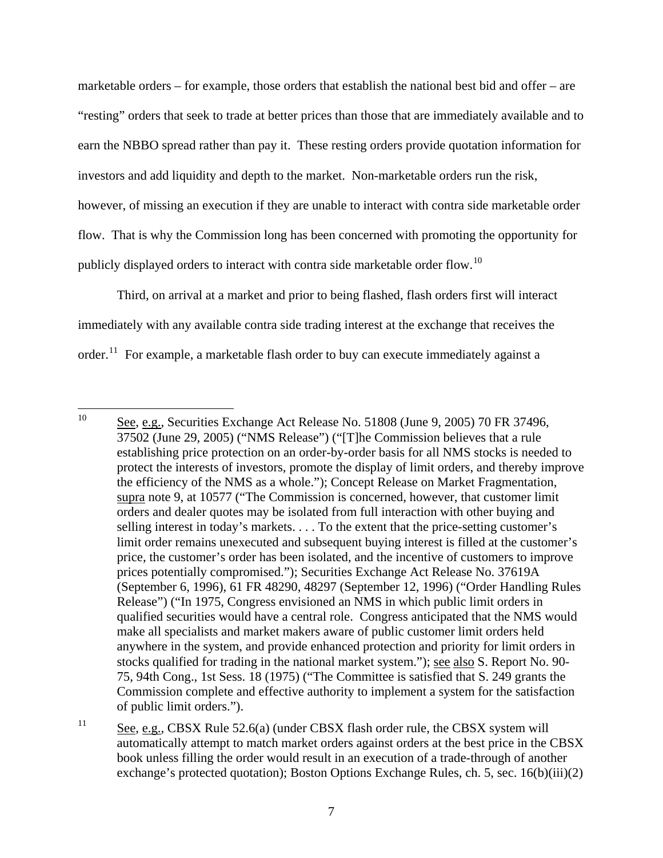marketable orders – for example, those orders that establish the national best bid and offer – are "resting" orders that seek to trade at better prices than those that are immediately available and to earn the NBBO spread rather than pay it. These resting orders provide quotation information for investors and add liquidity and depth to the market. Non-marketable orders run the risk, however, of missing an execution if they are unable to interact with contra side marketable order flow. That is why the Commission long has been concerned with promoting the opportunity for publicly displayed orders to interact with contra side marketable order flow.[10](#page-6-0)

 Third, on arrival at a market and prior to being flashed, flash orders first will interact immediately with any available contra side trading interest at the exchange that receives the order.<sup>[11](#page-6-1)</sup> For example, a marketable flash order to buy can execute immediately against a

<span id="page-6-0"></span> $10<sup>10</sup>$ See, e.g., Securities Exchange Act Release No. 51808 (June 9, 2005) 70 FR 37496, 37502 (June 29, 2005) ("NMS Release") ("[T]he Commission believes that a rule establishing price protection on an order-by-order basis for all NMS stocks is needed to protect the interests of investors, promote the display of limit orders, and thereby improve the efficiency of the NMS as a whole."); Concept Release on Market Fragmentation, supra note 9, at 10577 ("The Commission is concerned, however, that customer limit orders and dealer quotes may be isolated from full interaction with other buying and selling interest in today's markets. . . . To the extent that the price-setting customer's limit order remains unexecuted and subsequent buying interest is filled at the customer's price, the customer's order has been isolated, and the incentive of customers to improve prices potentially compromised."); Securities Exchange Act Release No. 37619A (September 6, 1996), 61 FR 48290, 48297 (September 12, 1996) ("Order Handling Rules Release") ("In 1975, Congress envisioned an NMS in which public limit orders in qualified securities would have a central role. Congress anticipated that the NMS would make all specialists and market makers aware of public customer limit orders held anywhere in the system, and provide enhanced protection and priority for limit orders in stocks qualified for trading in the national market system."); see also S. Report No. 90- 75, 94th Cong., 1st Sess. 18 (1975) ("The Committee is satisfied that S. 249 grants the Commission complete and effective authority to implement a system for the satisfaction of public limit orders.").

<span id="page-6-1"></span><sup>&</sup>lt;sup>11</sup> See, e.g., CBSX Rule 52.6(a) (under CBSX flash order rule, the CBSX system will automatically attempt to match market orders against orders at the best price in the CBSX book unless filling the order would result in an execution of a trade-through of another exchange's protected quotation); Boston Options Exchange Rules, ch. 5, sec. 16(b)(iii)(2)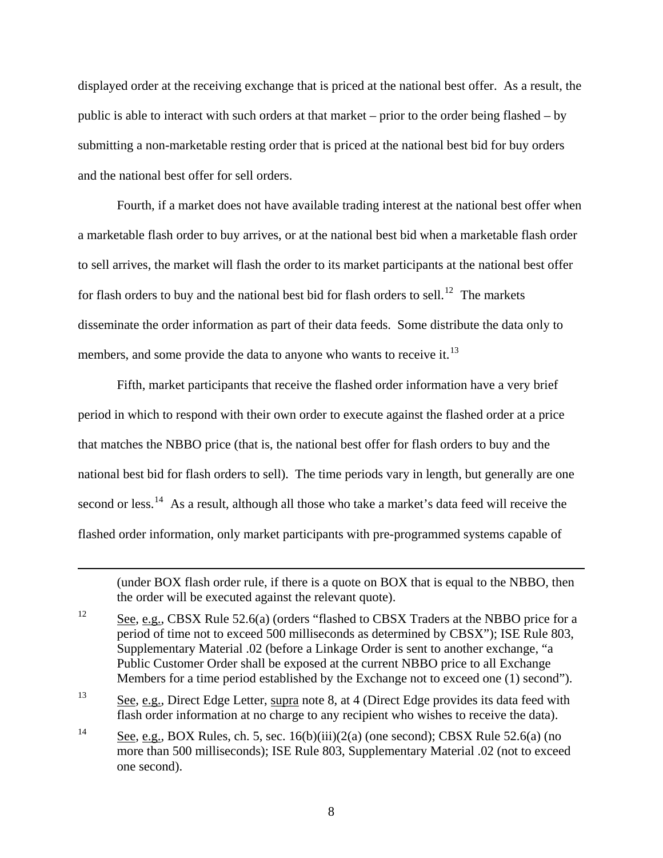displayed order at the receiving exchange that is priced at the national best offer. As a result, the public is able to interact with such orders at that market – prior to the order being flashed – by submitting a non-marketable resting order that is priced at the national best bid for buy orders and the national best offer for sell orders.

 Fourth, if a market does not have available trading interest at the national best offer when a marketable flash order to buy arrives, or at the national best bid when a marketable flash order to sell arrives, the market will flash the order to its market participants at the national best offer for flash orders to buy and the national best bid for flash orders to sell.<sup>[12](#page-7-0)</sup> The markets disseminate the order information as part of their data feeds. Some distribute the data only to members, and some provide the data to anyone who wants to receive it.<sup>[13](#page-7-1)</sup>

 Fifth, market participants that receive the flashed order information have a very brief period in which to respond with their own order to execute against the flashed order at a price that matches the NBBO price (that is, the national best offer for flash orders to buy and the national best bid for flash orders to sell). The time periods vary in length, but generally are one second or less.<sup>[14](#page-7-2)</sup> As a result, although all those who take a market's data feed will receive the flashed order information, only market participants with pre-programmed systems capable of

(under BOX flash order rule, if there is a quote on BOX that is equal to the NBBO, then the order will be executed against the relevant quote).

<span id="page-7-0"></span> $12$  See, e.g., CBSX Rule 52.6(a) (orders "flashed to CBSX Traders at the NBBO price for a period of time not to exceed 500 milliseconds as determined by CBSX"); ISE Rule 803, Supplementary Material .02 (before a Linkage Order is sent to another exchange, "a Public Customer Order shall be exposed at the current NBBO price to all Exchange Members for a time period established by the Exchange not to exceed one (1) second").

1

<span id="page-7-1"></span><sup>13</sup> See, e.g., Direct Edge Letter, supra note 8, at 4 (Direct Edge provides its data feed with flash order information at no charge to any recipient who wishes to receive the data).

<span id="page-7-2"></span><sup>14</sup> See, e.g., BOX Rules, ch. 5, sec. 16(b)(iii)(2(a) (one second); CBSX Rule 52.6(a) (no more than 500 milliseconds); ISE Rule 803, Supplementary Material .02 (not to exceed one second).

<sup>8</sup>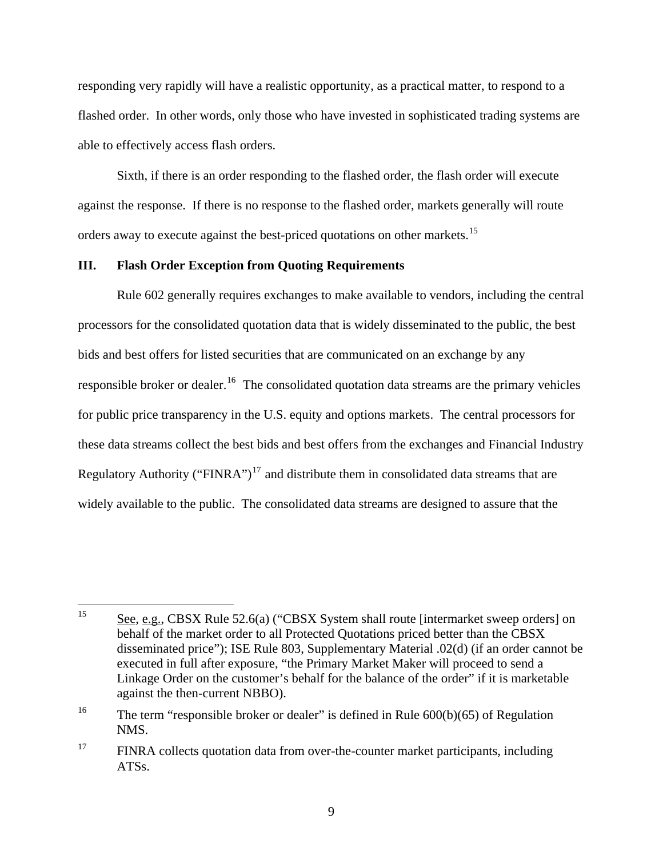responding very rapidly will have a realistic opportunity, as a practical matter, to respond to a flashed order. In other words, only those who have invested in sophisticated trading systems are able to effectively access flash orders.

 Sixth, if there is an order responding to the flashed order, the flash order will execute against the response. If there is no response to the flashed order, markets generally will route orders away to execute against the best-priced quotations on other markets.<sup>[15](#page-8-0)</sup>

## **III. Flash Order Exception from Quoting Requirements**

 Rule 602 generally requires exchanges to make available to vendors, including the central processors for the consolidated quotation data that is widely disseminated to the public, the best bids and best offers for listed securities that are communicated on an exchange by any responsible broker or dealer.<sup>[16](#page-8-1)</sup> The consolidated quotation data streams are the primary vehicles for public price transparency in the U.S. equity and options markets. The central processors for these data streams collect the best bids and best offers from the exchanges and Financial Industry Regulatory Authority ("FINRA")<sup>[17](#page-8-2)</sup> and distribute them in consolidated data streams that are widely available to the public. The consolidated data streams are designed to assure that the

<span id="page-8-0"></span><sup>15</sup> See, e.g., CBSX Rule 52.6(a) ("CBSX System shall route [intermarket sweep orders] on behalf of the market order to all Protected Quotations priced better than the CBSX disseminated price"); ISE Rule 803, Supplementary Material .02(d) (if an order cannot be executed in full after exposure, "the Primary Market Maker will proceed to send a Linkage Order on the customer's behalf for the balance of the order" if it is marketable against the then-current NBBO).

<span id="page-8-1"></span><sup>&</sup>lt;sup>16</sup> The term "responsible broker or dealer" is defined in Rule  $600(b)(65)$  of Regulation NMS.

<span id="page-8-2"></span><sup>&</sup>lt;sup>17</sup> FINRA collects quotation data from over-the-counter market participants, including ATSs.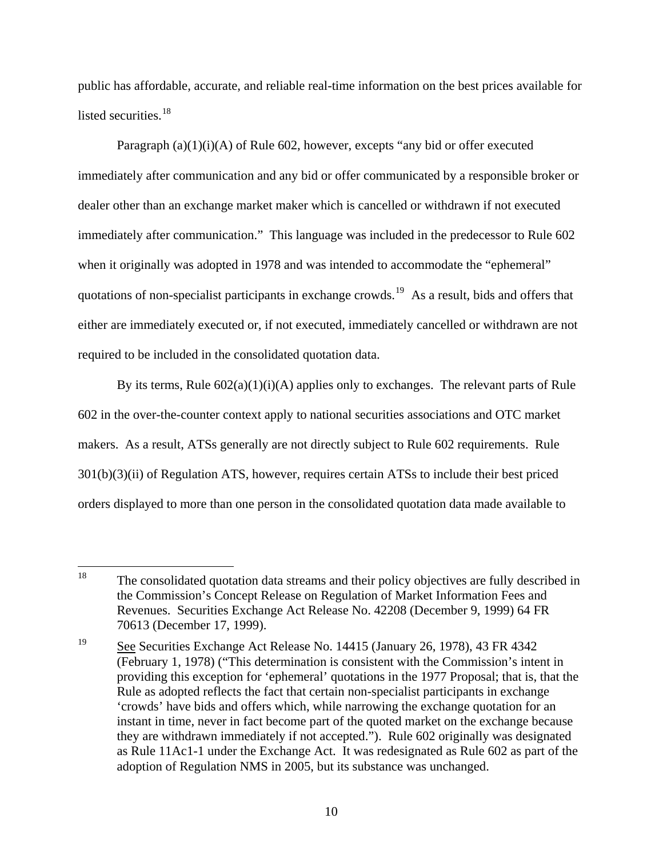public has affordable, accurate, and reliable real-time information on the best prices available for listed securities.<sup>[18](#page-9-0)</sup>

Paragraph  $(a)(1)(i)(A)$  of Rule 602, however, excepts "any bid or offer executed immediately after communication and any bid or offer communicated by a responsible broker or dealer other than an exchange market maker which is cancelled or withdrawn if not executed immediately after communication." This language was included in the predecessor to Rule 602 when it originally was adopted in 1978 and was intended to accommodate the "ephemeral" quotations of non-specialist participants in exchange crowds.<sup>[19](#page-9-1)</sup> As a result, bids and offers that either are immediately executed or, if not executed, immediately cancelled or withdrawn are not required to be included in the consolidated quotation data.

By its terms, Rule  $602(a)(1)(i)(A)$  applies only to exchanges. The relevant parts of Rule 602 in the over-the-counter context apply to national securities associations and OTC market makers. As a result, ATSs generally are not directly subject to Rule 602 requirements. Rule 301(b)(3)(ii) of Regulation ATS, however, requires certain ATSs to include their best priced orders displayed to more than one person in the consolidated quotation data made available to

<span id="page-9-0"></span><sup>18</sup> The consolidated quotation data streams and their policy objectives are fully described in the Commission's Concept Release on Regulation of Market Information Fees and Revenues. Securities Exchange Act Release No. 42208 (December 9, 1999) 64 FR 70613 (December 17, 1999).

<span id="page-9-1"></span><sup>19</sup> See Securities Exchange Act Release No. 14415 (January 26, 1978), 43 FR 4342 (February 1, 1978) ("This determination is consistent with the Commission's intent in providing this exception for 'ephemeral' quotations in the 1977 Proposal; that is, that the Rule as adopted reflects the fact that certain non-specialist participants in exchange 'crowds' have bids and offers which, while narrowing the exchange quotation for an instant in time, never in fact become part of the quoted market on the exchange because they are withdrawn immediately if not accepted."). Rule 602 originally was designated as Rule 11Ac1-1 under the Exchange Act. It was redesignated as Rule 602 as part of the adoption of Regulation NMS in 2005, but its substance was unchanged.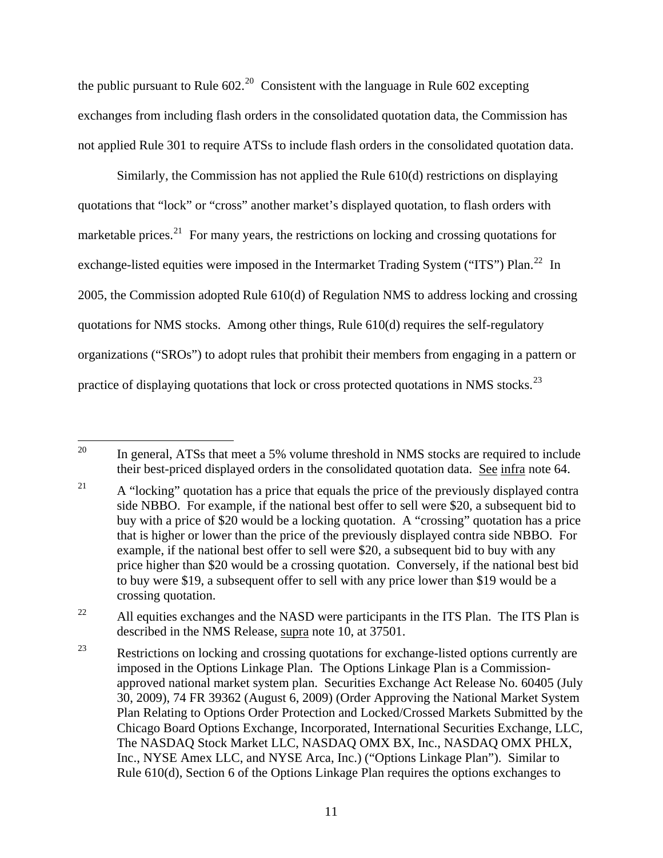the public pursuant to Rule  $602.^{20}$  $602.^{20}$  $602.^{20}$  Consistent with the language in Rule  $602$  excepting exchanges from including flash orders in the consolidated quotation data, the Commission has not applied Rule 301 to require ATSs to include flash orders in the consolidated quotation data.

 Similarly, the Commission has not applied the Rule 610(d) restrictions on displaying quotations that "lock" or "cross" another market's displayed quotation, to flash orders with marketable prices.<sup>[21](#page-10-1)</sup> For many years, the restrictions on locking and crossing quotations for exchange-listed equities were imposed in the Intermarket Trading System ("ITS") Plan.<sup>[22](#page-10-2)</sup> In 2005, the Commission adopted Rule 610(d) of Regulation NMS to address locking and crossing quotations for NMS stocks. Among other things, Rule 610(d) requires the self-regulatory organizations ("SROs") to adopt rules that prohibit their members from engaging in a pattern or practice of displaying quotations that lock or cross protected quotations in NMS stocks.<sup>[23](#page-10-3)</sup>

<span id="page-10-0"></span><sup>20</sup> In general, ATSs that meet a 5% volume threshold in NMS stocks are required to include their best-priced displayed orders in the consolidated quotation data. See infra note 64.

<span id="page-10-1"></span><sup>&</sup>lt;sup>21</sup> A "locking" quotation has a price that equals the price of the previously displayed contra side NBBO. For example, if the national best offer to sell were \$20, a subsequent bid to buy with a price of \$20 would be a locking quotation. A "crossing" quotation has a price that is higher or lower than the price of the previously displayed contra side NBBO. For example, if the national best offer to sell were \$20, a subsequent bid to buy with any price higher than \$20 would be a crossing quotation. Conversely, if the national best bid to buy were \$19, a subsequent offer to sell with any price lower than \$19 would be a crossing quotation.

<span id="page-10-2"></span><sup>&</sup>lt;sup>22</sup> All equities exchanges and the NASD were participants in the ITS Plan. The ITS Plan is described in the NMS Release, supra note 10, at 37501.

<span id="page-10-3"></span> $23$  Restrictions on locking and crossing quotations for exchange-listed options currently are imposed in the Options Linkage Plan. The Options Linkage Plan is a Commissionapproved national market system plan. Securities Exchange Act Release No. 60405 (July 30, 2009), 74 FR 39362 (August 6, 2009) (Order Approving the National Market System Plan Relating to Options Order Protection and Locked/Crossed Markets Submitted by the Chicago Board Options Exchange, Incorporated, International Securities Exchange, LLC, The NASDAQ Stock Market LLC, NASDAQ OMX BX, Inc., NASDAQ OMX PHLX, Inc., NYSE Amex LLC, and NYSE Arca, Inc.) ("Options Linkage Plan"). Similar to Rule 610(d), Section 6 of the Options Linkage Plan requires the options exchanges to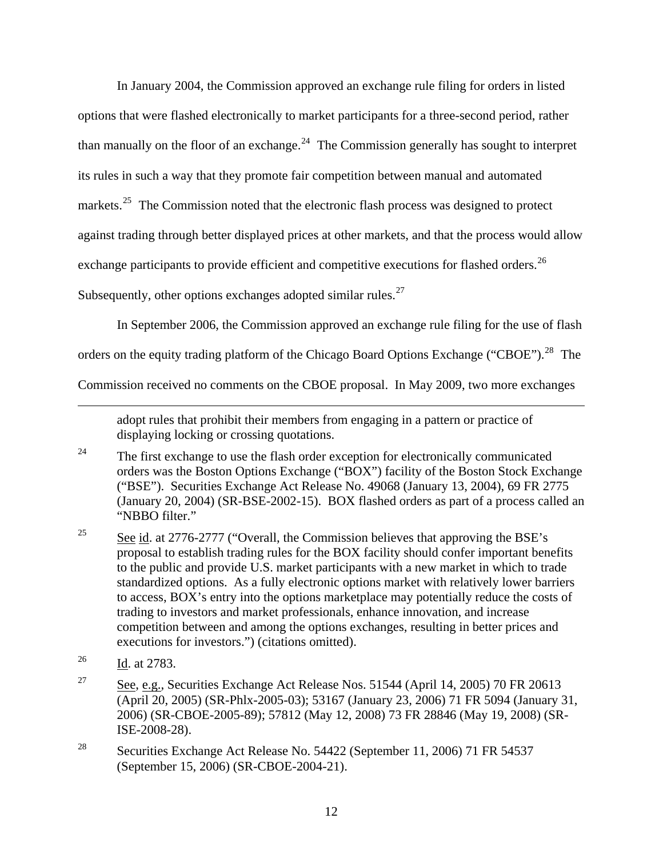In January 2004, the Commission approved an exchange rule filing for orders in listed options that were flashed electronically to market participants for a three-second period, rather than manually on the floor of an exchange.<sup>[24](#page-11-0)</sup> The Commission generally has sought to interpret its rules in such a way that they promote fair competition between manual and automated markets.<sup>[25](#page-11-1)</sup> The Commission noted that the electronic flash process was designed to protect against trading through better displayed prices at other markets, and that the process would allow exchange participants to provide efficient and competitive executions for flashed orders.<sup>[26](#page-11-2)</sup> Subsequently, other options exchanges adopted similar rules.<sup>[27](#page-11-3)</sup>

In September 2006, the Commission approved an exchange rule filing for the use of flash

orders on the equity trading platform of the Chicago Board Options Exchange ("CBOE").<sup>[28](#page-11-4)</sup> The

Commission received no comments on the CBOE proposal. In May 2009, two more exchanges

adopt rules that prohibit their members from engaging in a pattern or practice of displaying locking or crossing quotations.

<span id="page-11-0"></span><sup>24</sup> The first exchange to use the flash order exception for electronically communicated orders was the Boston Options Exchange ("BOX") facility of the Boston Stock Exchange ("BSE"). Securities Exchange Act Release No. 49068 (January 13, 2004), 69 FR 2775 (January 20, 2004) (SR-BSE-2002-15). BOX flashed orders as part of a process called an "NBBO filter."

- <span id="page-11-1"></span><sup>25</sup> See id. at 2776-2777 ("Overall, the Commission believes that approving the BSE's proposal to establish trading rules for the BOX facility should confer important benefits to the public and provide U.S. market participants with a new market in which to trade standardized options. As a fully electronic options market with relatively lower barriers to access, BOX's entry into the options marketplace may potentially reduce the costs of trading to investors and market professionals, enhance innovation, and increase competition between and among the options exchanges, resulting in better prices and executions for investors.") (citations omitted).
- <span id="page-11-2"></span>26 Id. at 2783.

- <span id="page-11-3"></span><sup>27</sup> See, e.g., Securities Exchange Act Release Nos. 51544 (April 14, 2005) 70 FR 20613 (April 20, 2005) (SR-Phlx-2005-03); 53167 (January 23, 2006) 71 FR 5094 (January 31, 2006) (SR-CBOE-2005-89); 57812 (May 12, 2008) 73 FR 28846 (May 19, 2008) (SR-ISE-2008-28).
- <span id="page-11-4"></span><sup>28</sup> Securities Exchange Act Release No. 54422 (September 11, 2006) 71 FR 54537 (September 15, 2006) (SR-CBOE-2004-21).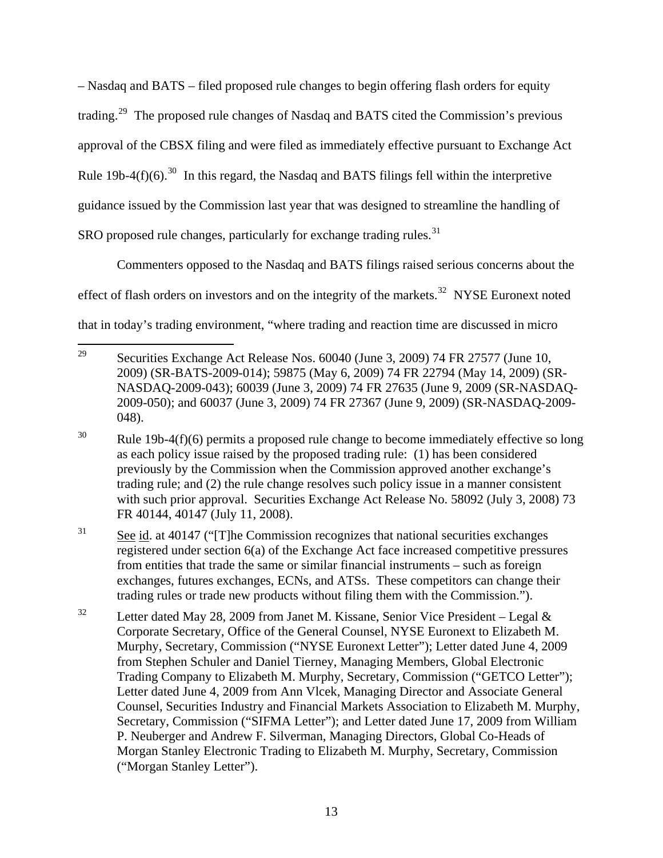– Nasdaq and BATS – filed proposed rule changes to begin offering flash orders for equity trading.[29](#page-12-0) The proposed rule changes of Nasdaq and BATS cited the Commission's previous approval of the CBSX filing and were filed as immediately effective pursuant to Exchange Act Rule 19b-4(f)(6).<sup>[30](#page-12-1)</sup> In this regard, the Nasdaq and BATS filings fell within the interpretive guidance issued by the Commission last year that was designed to streamline the handling of SRO proposed rule changes, particularly for exchange trading rules.<sup>[31](#page-12-2)</sup>

 Commenters opposed to the Nasdaq and BATS filings raised serious concerns about the effect of flash orders on investors and on the integrity of the markets.<sup>[32](#page-12-3)</sup> NYSE Euronext noted that in today's trading environment, "where trading and reaction time are discussed in micro

<span id="page-12-0"></span><sup>29</sup> 29 Securities Exchange Act Release Nos. 60040 (June 3, 2009) 74 FR 27577 (June 10, 2009) (SR-BATS-2009-014); 59875 (May 6, 2009) 74 FR 22794 (May 14, 2009) (SR-NASDAQ-2009-043); 60039 (June 3, 2009) 74 FR 27635 (June 9, 2009 (SR-NASDAQ-2009-050); and 60037 (June 3, 2009) 74 FR 27367 (June 9, 2009) (SR-NASDAQ-2009- 048).

<span id="page-12-1"></span> $30$  Rule 19b-4(f)(6) permits a proposed rule change to become immediately effective so long as each policy issue raised by the proposed trading rule: (1) has been considered previously by the Commission when the Commission approved another exchange's trading rule; and (2) the rule change resolves such policy issue in a manner consistent with such prior approval. Securities Exchange Act Release No. 58092 (July 3, 2008) 73 FR 40144, 40147 (July 11, 2008).

<span id="page-12-2"></span><sup>31</sup> See id. at 40147 ("[T]he Commission recognizes that national securities exchanges registered under section 6(a) of the Exchange Act face increased competitive pressures from entities that trade the same or similar financial instruments – such as foreign exchanges, futures exchanges, ECNs, and ATSs. These competitors can change their trading rules or trade new products without filing them with the Commission.").

<span id="page-12-3"></span><sup>&</sup>lt;sup>32</sup> Letter dated May 28, 2009 from Janet M. Kissane, Senior Vice President – Legal & Corporate Secretary, Office of the General Counsel, NYSE Euronext to Elizabeth M. Murphy, Secretary, Commission ("NYSE Euronext Letter"); Letter dated June 4, 2009 from Stephen Schuler and Daniel Tierney, Managing Members, Global Electronic Trading Company to Elizabeth M. Murphy, Secretary, Commission ("GETCO Letter"); Letter dated June 4, 2009 from Ann Vlcek, Managing Director and Associate General Counsel, Securities Industry and Financial Markets Association to Elizabeth M. Murphy, Secretary, Commission ("SIFMA Letter"); and Letter dated June 17, 2009 from William P. Neuberger and Andrew F. Silverman, Managing Directors, Global Co-Heads of Morgan Stanley Electronic Trading to Elizabeth M. Murphy, Secretary, Commission ("Morgan Stanley Letter").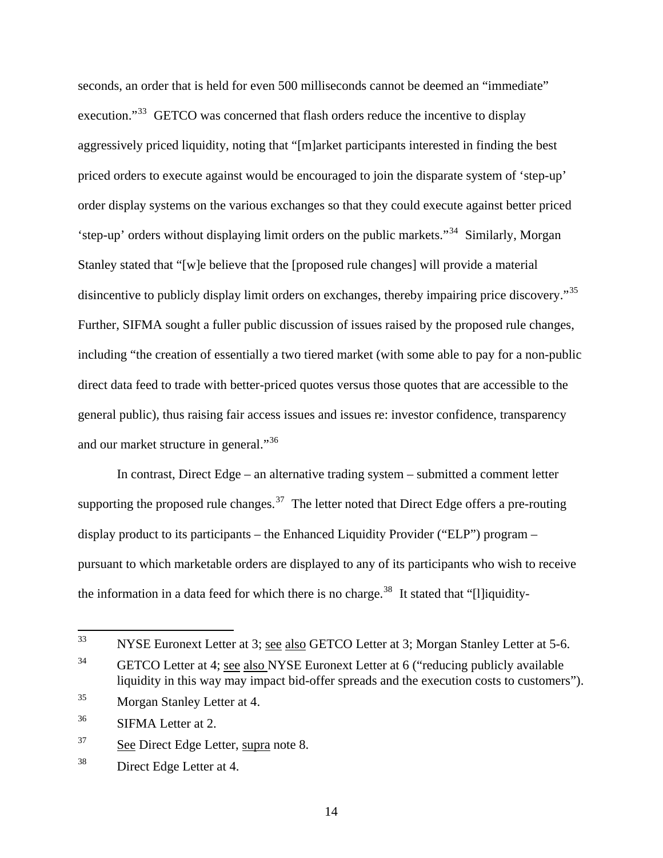seconds, an order that is held for even 500 milliseconds cannot be deemed an "immediate" execution."<sup>[33](#page-13-0)</sup> GETCO was concerned that flash orders reduce the incentive to display aggressively priced liquidity, noting that "[m]arket participants interested in finding the best priced orders to execute against would be encouraged to join the disparate system of 'step-up' order display systems on the various exchanges so that they could execute against better priced 'step-up' orders without displaying limit orders on the public markets."[34](#page-13-1) Similarly, Morgan Stanley stated that "[w]e believe that the [proposed rule changes] will provide a material disincentive to publicly display limit orders on exchanges, thereby impairing price discovery."<sup>[35](#page-13-2)</sup> Further, SIFMA sought a fuller public discussion of issues raised by the proposed rule changes, including "the creation of essentially a two tiered market (with some able to pay for a non-public direct data feed to trade with better-priced quotes versus those quotes that are accessible to the general public), thus raising fair access issues and issues re: investor confidence, transparency and our market structure in general."<sup>[36](#page-13-3)</sup>

 In contrast, Direct Edge – an alternative trading system – submitted a comment letter supporting the proposed rule changes.<sup>[37](#page-13-4)</sup> The letter noted that Direct Edge offers a pre-routing display product to its participants – the Enhanced Liquidity Provider ("ELP") program – pursuant to which marketable orders are displayed to any of its participants who wish to receive the information in a data feed for which there is no charge.<sup>[38](#page-13-5)</sup> It stated that "[l]iquidity-

<span id="page-13-4"></span><sup>37</sup> See Direct Edge Letter, supra note 8.

<span id="page-13-0"></span><sup>33</sup> NYSE Euronext Letter at 3; see also GETCO Letter at 3; Morgan Stanley Letter at 5-6.

<span id="page-13-1"></span><sup>&</sup>lt;sup>34</sup> GETCO Letter at 4; see also NYSE Euronext Letter at 6 ("reducing publicly available liquidity in this way may impact bid-offer spreads and the execution costs to customers").

<span id="page-13-2"></span><sup>35</sup> Morgan Stanley Letter at 4.

<span id="page-13-3"></span><sup>36</sup> SIFMA Letter at 2.

<span id="page-13-5"></span><sup>38</sup> Direct Edge Letter at 4.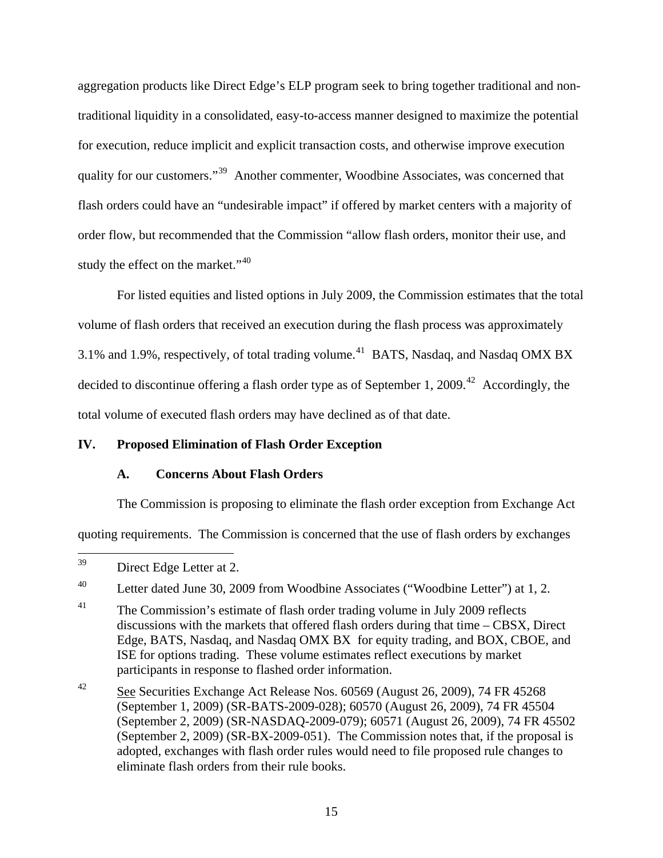aggregation products like Direct Edge's ELP program seek to bring together traditional and nontraditional liquidity in a consolidated, easy-to-access manner designed to maximize the potential for execution, reduce implicit and explicit transaction costs, and otherwise improve execution quality for our customers."[39](#page-14-0) Another commenter, Woodbine Associates, was concerned that flash orders could have an "undesirable impact" if offered by market centers with a majority of order flow, but recommended that the Commission "allow flash orders, monitor their use, and study the effect on the market."<sup>[40](#page-14-1)</sup>

 For listed equities and listed options in July 2009, the Commission estimates that the total volume of flash orders that received an execution during the flash process was approximately 3.1% and 1.9%, respectively, of total trading volume.<sup>[41](#page-14-2)</sup> BATS, Nasdaq, and Nasdaq OMX BX decided to discontinue offering a flash order type as of September 1, 2009.<sup>[42](#page-14-3)</sup> Accordingly, the total volume of executed flash orders may have declined as of that date.

# **IV. Proposed Elimination of Flash Order Exception**

## **A. Concerns About Flash Orders**

The Commission is proposing to eliminate the flash order exception from Exchange Act

quoting requirements. The Commission is concerned that the use of flash orders by exchanges

<span id="page-14-0"></span><sup>39</sup> Direct Edge Letter at 2.

<span id="page-14-1"></span><sup>&</sup>lt;sup>40</sup> Letter dated June 30, 2009 from Woodbine Associates ("Woodbine Letter") at 1, 2.

<span id="page-14-2"></span> $41$  The Commission's estimate of flash order trading volume in July 2009 reflects discussions with the markets that offered flash orders during that time – CBSX, Direct Edge, BATS, Nasdaq, and Nasdaq OMX BX for equity trading, and BOX, CBOE, and ISE for options trading. These volume estimates reflect executions by market participants in response to flashed order information.

<span id="page-14-3"></span><sup>42</sup> See Securities Exchange Act Release Nos. 60569 (August 26, 2009), 74 FR 45268 (September 1, 2009) (SR-BATS-2009-028); 60570 (August 26, 2009), 74 FR 45504 (September 2, 2009) (SR-NASDAQ-2009-079); 60571 (August 26, 2009), 74 FR 45502 (September 2, 2009) (SR-BX-2009-051). The Commission notes that, if the proposal is adopted, exchanges with flash order rules would need to file proposed rule changes to eliminate flash orders from their rule books.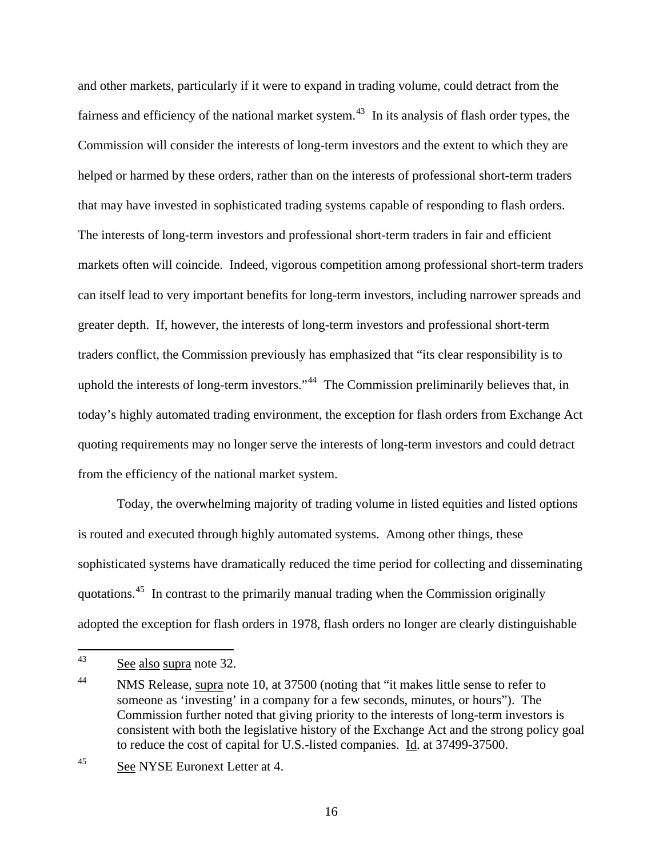and other markets, particularly if it were to expand in trading volume, could detract from the fairness and efficiency of the national market system.<sup>[43](#page-15-0)</sup> In its analysis of flash order types, the Commission will consider the interests of long-term investors and the extent to which they are helped or harmed by these orders, rather than on the interests of professional short-term traders that may have invested in sophisticated trading systems capable of responding to flash orders. The interests of long-term investors and professional short-term traders in fair and efficient markets often will coincide. Indeed, vigorous competition among professional short-term traders can itself lead to very important benefits for long-term investors, including narrower spreads and greater depth. If, however, the interests of long-term investors and professional short-term traders conflict, the Commission previously has emphasized that "its clear responsibility is to uphold the interests of long-term investors."<sup>[44](#page-15-1)</sup> The Commission preliminarily believes that, in today's highly automated trading environment, the exception for flash orders from Exchange Act quoting requirements may no longer serve the interests of long-term investors and could detract from the efficiency of the national market system.

 Today, the overwhelming majority of trading volume in listed equities and listed options is routed and executed through highly automated systems. Among other things, these sophisticated systems have dramatically reduced the time period for collecting and disseminating quotations.[45](#page-15-2) In contrast to the primarily manual trading when the Commission originally adopted the exception for flash orders in 1978, flash orders no longer are clearly distinguishable

<span id="page-15-0"></span><sup>43</sup> See also supra note 32.

<span id="page-15-1"></span><sup>&</sup>lt;sup>44</sup> NMS Release, supra note 10, at 37500 (noting that "it makes little sense to refer to someone as 'investing' in a company for a few seconds, minutes, or hours"). The Commission further noted that giving priority to the interests of long-term investors is consistent with both the legislative history of the Exchange Act and the strong policy goal to reduce the cost of capital for U.S.-listed companies. Id. at 37499-37500.

<span id="page-15-2"></span><sup>45</sup> See NYSE Euronext Letter at 4.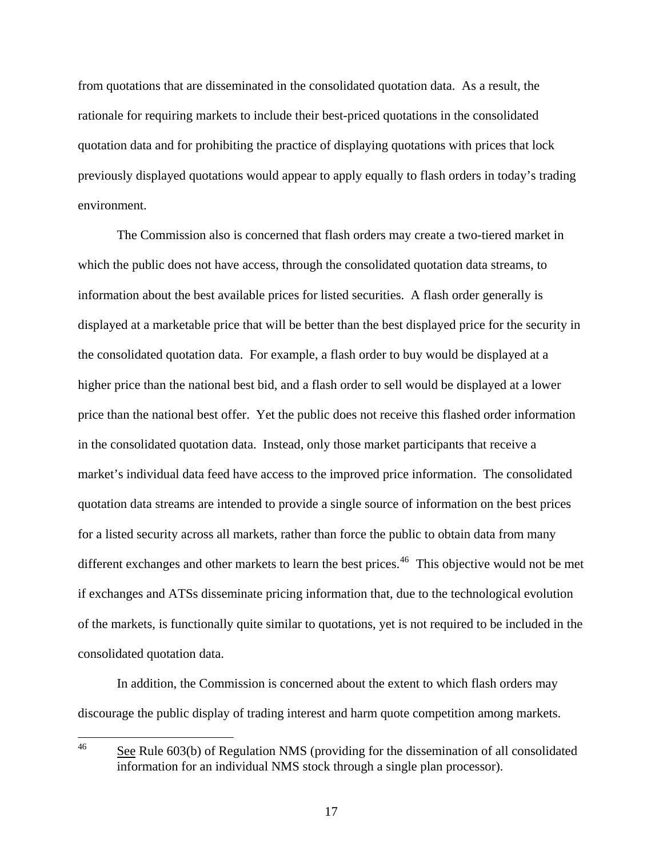from quotations that are disseminated in the consolidated quotation data. As a result, the rationale for requiring markets to include their best-priced quotations in the consolidated quotation data and for prohibiting the practice of displaying quotations with prices that lock previously displayed quotations would appear to apply equally to flash orders in today's trading environment.

 The Commission also is concerned that flash orders may create a two-tiered market in which the public does not have access, through the consolidated quotation data streams, to information about the best available prices for listed securities. A flash order generally is displayed at a marketable price that will be better than the best displayed price for the security in the consolidated quotation data. For example, a flash order to buy would be displayed at a higher price than the national best bid, and a flash order to sell would be displayed at a lower price than the national best offer. Yet the public does not receive this flashed order information in the consolidated quotation data. Instead, only those market participants that receive a market's individual data feed have access to the improved price information. The consolidated quotation data streams are intended to provide a single source of information on the best prices for a listed security across all markets, rather than force the public to obtain data from many different exchanges and other markets to learn the best prices.<sup>[46](#page-16-0)</sup> This objective would not be met if exchanges and ATSs disseminate pricing information that, due to the technological evolution of the markets, is functionally quite similar to quotations, yet is not required to be included in the consolidated quotation data.

 In addition, the Commission is concerned about the extent to which flash orders may discourage the public display of trading interest and harm quote competition among markets.

<span id="page-16-0"></span> $46\,$ See Rule 603(b) of Regulation NMS (providing for the dissemination of all consolidated information for an individual NMS stock through a single plan processor).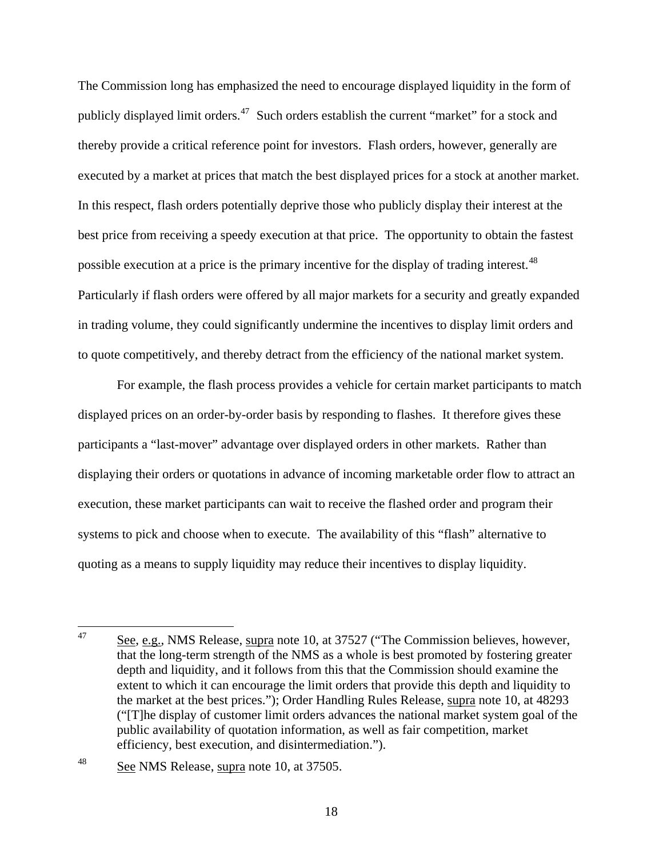The Commission long has emphasized the need to encourage displayed liquidity in the form of publicly displayed limit orders.<sup>[47](#page-17-0)</sup> Such orders establish the current "market" for a stock and thereby provide a critical reference point for investors. Flash orders, however, generally are executed by a market at prices that match the best displayed prices for a stock at another market. In this respect, flash orders potentially deprive those who publicly display their interest at the best price from receiving a speedy execution at that price. The opportunity to obtain the fastest possible execution at a price is the primary incentive for the display of trading interest.<sup>[48](#page-17-1)</sup> Particularly if flash orders were offered by all major markets for a security and greatly expanded in trading volume, they could significantly undermine the incentives to display limit orders and to quote competitively, and thereby detract from the efficiency of the national market system.

 For example, the flash process provides a vehicle for certain market participants to match displayed prices on an order-by-order basis by responding to flashes. It therefore gives these participants a "last-mover" advantage over displayed orders in other markets. Rather than displaying their orders or quotations in advance of incoming marketable order flow to attract an execution, these market participants can wait to receive the flashed order and program their systems to pick and choose when to execute. The availability of this "flash" alternative to quoting as a means to supply liquidity may reduce their incentives to display liquidity.

<span id="page-17-0"></span><sup>47</sup> See, e.g., NMS Release, supra note 10, at 37527 ("The Commission believes, however, that the long-term strength of the NMS as a whole is best promoted by fostering greater depth and liquidity, and it follows from this that the Commission should examine the extent to which it can encourage the limit orders that provide this depth and liquidity to the market at the best prices."); Order Handling Rules Release, supra note 10, at 48293 ("[T]he display of customer limit orders advances the national market system goal of the public availability of quotation information, as well as fair competition, market efficiency, best execution, and disintermediation.").

<span id="page-17-1"></span><sup>48</sup> See NMS Release, supra note 10, at 37505.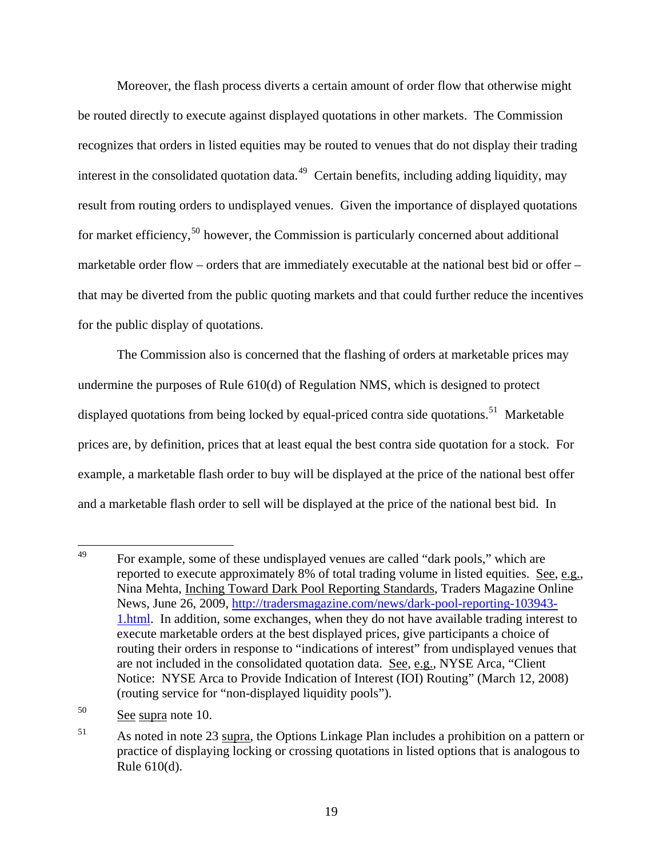Moreover, the flash process diverts a certain amount of order flow that otherwise might be routed directly to execute against displayed quotations in other markets. The Commission recognizes that orders in listed equities may be routed to venues that do not display their trading interest in the consolidated quotation data.<sup>[49](#page-18-0)</sup> Certain benefits, including adding liquidity, may result from routing orders to undisplayed venues. Given the importance of displayed quotations for market efficiency,<sup>[50](#page-18-1)</sup> however, the Commission is particularly concerned about additional marketable order flow – orders that are immediately executable at the national best bid or offer – that may be diverted from the public quoting markets and that could further reduce the incentives for the public display of quotations.

 The Commission also is concerned that the flashing of orders at marketable prices may undermine the purposes of Rule 610(d) of Regulation NMS, which is designed to protect displayed quotations from being locked by equal-priced contra side quotations.<sup>[51](#page-18-2)</sup> Marketable prices are, by definition, prices that at least equal the best contra side quotation for a stock. For example, a marketable flash order to buy will be displayed at the price of the national best offer and a marketable flash order to sell will be displayed at the price of the national best bid. In

<span id="page-18-0"></span><sup>49</sup> For example, some of these undisplayed venues are called "dark pools," which are reported to execute approximately 8% of total trading volume in listed equities. See, e.g., Nina Mehta, Inching Toward Dark Pool Reporting Standards, Traders Magazine Online News, June 26, 2009, http://tradersmagazine.com/news/dark-pool-reporting-103943- 1.html. In addition, some exchanges, when they do not have available trading interest to execute marketable orders at the best displayed prices, give participants a choice of routing their orders in response to "indications of interest" from undisplayed venues that are not included in the consolidated quotation data. See, e.g., NYSE Arca, "Client Notice: NYSE Arca to Provide Indication of Interest (IOI) Routing" (March 12, 2008) (routing service for "non-displayed liquidity pools").

<span id="page-18-1"></span><sup>50</sup> See supra note 10.

<span id="page-18-2"></span><sup>&</sup>lt;sup>51</sup> As noted in note 23 supra, the Options Linkage Plan includes a prohibition on a pattern or practice of displaying locking or crossing quotations in listed options that is analogous to Rule 610(d).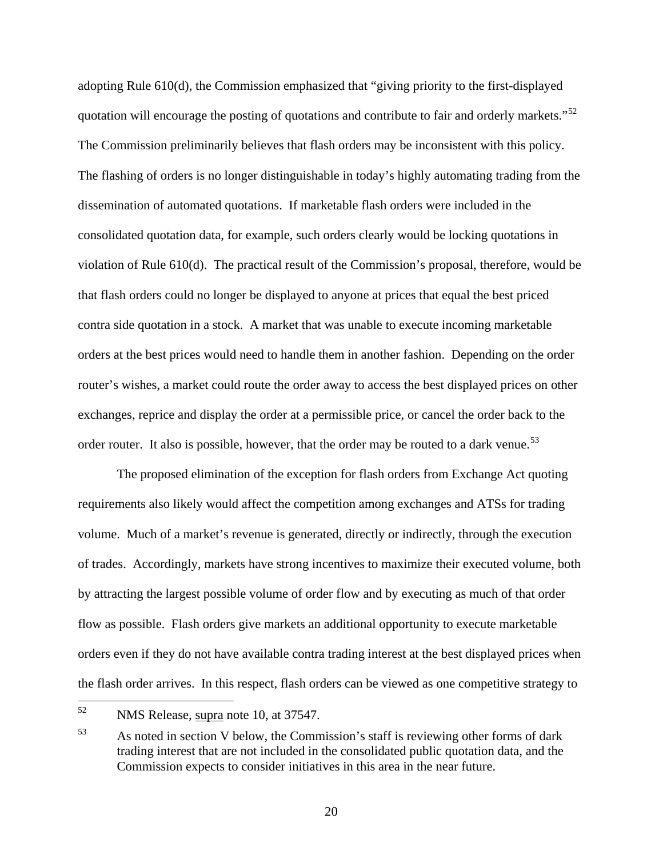adopting Rule 610(d), the Commission emphasized that "giving priority to the first-displayed quotation will encourage the posting of quotations and contribute to fair and orderly markets."<sup>[52](#page-19-0)</sup> The Commission preliminarily believes that flash orders may be inconsistent with this policy. The flashing of orders is no longer distinguishable in today's highly automating trading from the dissemination of automated quotations. If marketable flash orders were included in the consolidated quotation data, for example, such orders clearly would be locking quotations in violation of Rule 610(d). The practical result of the Commission's proposal, therefore, would be that flash orders could no longer be displayed to anyone at prices that equal the best priced contra side quotation in a stock. A market that was unable to execute incoming marketable orders at the best prices would need to handle them in another fashion. Depending on the order router's wishes, a market could route the order away to access the best displayed prices on other exchanges, reprice and display the order at a permissible price, or cancel the order back to the order router. It also is possible, however, that the order may be routed to a dark venue.<sup>[53](#page-19-1)</sup>

 The proposed elimination of the exception for flash orders from Exchange Act quoting requirements also likely would affect the competition among exchanges and ATSs for trading volume. Much of a market's revenue is generated, directly or indirectly, through the execution of trades. Accordingly, markets have strong incentives to maximize their executed volume, both by attracting the largest possible volume of order flow and by executing as much of that order flow as possible. Flash orders give markets an additional opportunity to execute marketable orders even if they do not have available contra trading interest at the best displayed prices when the flash order arrives. In this respect, flash orders can be viewed as one competitive strategy to

<span id="page-19-0"></span><sup>52</sup> NMS Release, supra note 10, at 37547.

<span id="page-19-1"></span><sup>53</sup> As noted in section V below, the Commission's staff is reviewing other forms of dark trading interest that are not included in the consolidated public quotation data, and the Commission expects to consider initiatives in this area in the near future.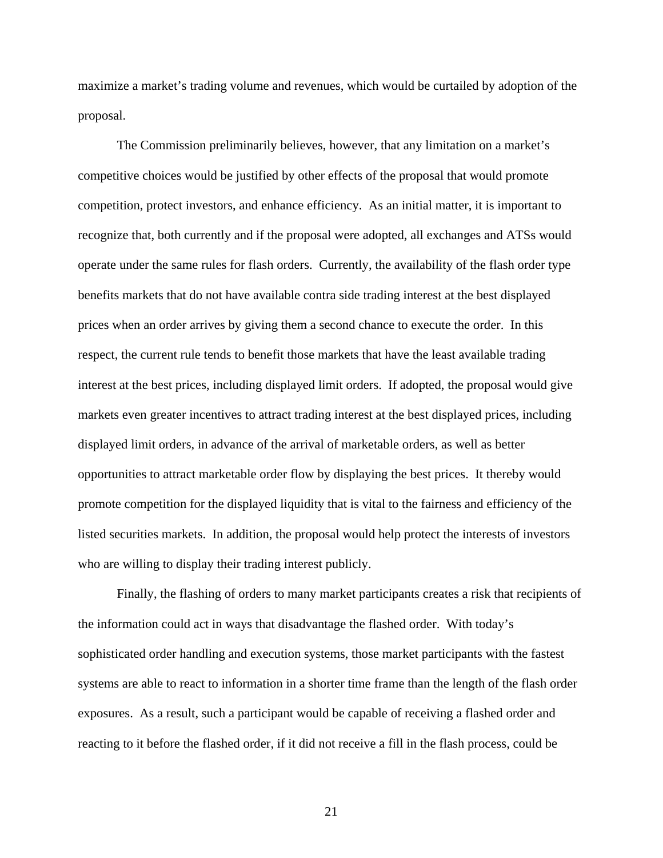maximize a market's trading volume and revenues, which would be curtailed by adoption of the proposal.

 The Commission preliminarily believes, however, that any limitation on a market's competitive choices would be justified by other effects of the proposal that would promote competition, protect investors, and enhance efficiency. As an initial matter, it is important to recognize that, both currently and if the proposal were adopted, all exchanges and ATSs would operate under the same rules for flash orders. Currently, the availability of the flash order type benefits markets that do not have available contra side trading interest at the best displayed prices when an order arrives by giving them a second chance to execute the order. In this respect, the current rule tends to benefit those markets that have the least available trading interest at the best prices, including displayed limit orders. If adopted, the proposal would give markets even greater incentives to attract trading interest at the best displayed prices, including displayed limit orders, in advance of the arrival of marketable orders, as well as better opportunities to attract marketable order flow by displaying the best prices. It thereby would promote competition for the displayed liquidity that is vital to the fairness and efficiency of the listed securities markets. In addition, the proposal would help protect the interests of investors who are willing to display their trading interest publicly.

 Finally, the flashing of orders to many market participants creates a risk that recipients of the information could act in ways that disadvantage the flashed order. With today's sophisticated order handling and execution systems, those market participants with the fastest systems are able to react to information in a shorter time frame than the length of the flash order exposures. As a result, such a participant would be capable of receiving a flashed order and reacting to it before the flashed order, if it did not receive a fill in the flash process, could be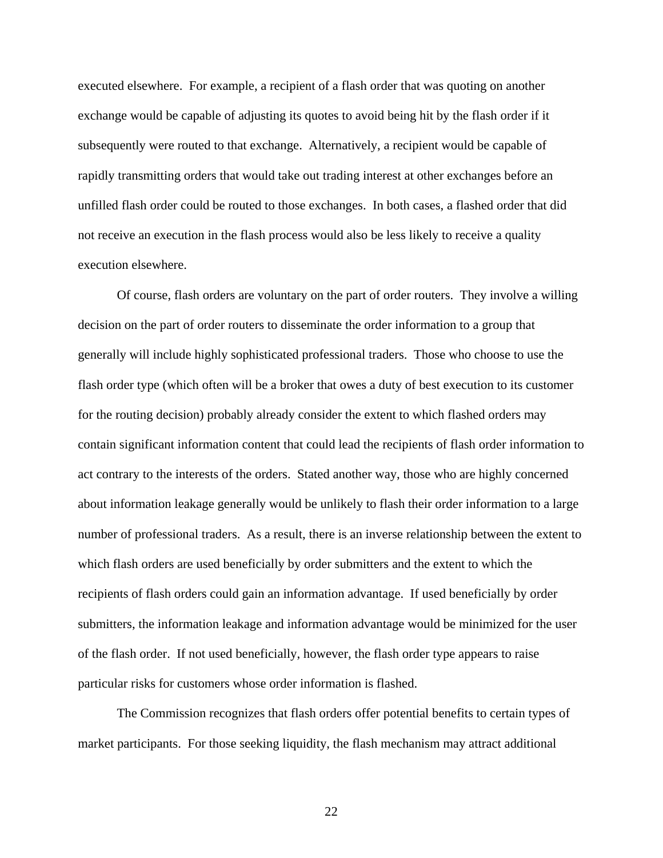executed elsewhere. For example, a recipient of a flash order that was quoting on another exchange would be capable of adjusting its quotes to avoid being hit by the flash order if it subsequently were routed to that exchange. Alternatively, a recipient would be capable of rapidly transmitting orders that would take out trading interest at other exchanges before an unfilled flash order could be routed to those exchanges. In both cases, a flashed order that did not receive an execution in the flash process would also be less likely to receive a quality execution elsewhere.

 Of course, flash orders are voluntary on the part of order routers. They involve a willing decision on the part of order routers to disseminate the order information to a group that generally will include highly sophisticated professional traders. Those who choose to use the flash order type (which often will be a broker that owes a duty of best execution to its customer for the routing decision) probably already consider the extent to which flashed orders may contain significant information content that could lead the recipients of flash order information to act contrary to the interests of the orders. Stated another way, those who are highly concerned about information leakage generally would be unlikely to flash their order information to a large number of professional traders. As a result, there is an inverse relationship between the extent to which flash orders are used beneficially by order submitters and the extent to which the recipients of flash orders could gain an information advantage. If used beneficially by order submitters, the information leakage and information advantage would be minimized for the user of the flash order. If not used beneficially, however, the flash order type appears to raise particular risks for customers whose order information is flashed.

 The Commission recognizes that flash orders offer potential benefits to certain types of market participants. For those seeking liquidity, the flash mechanism may attract additional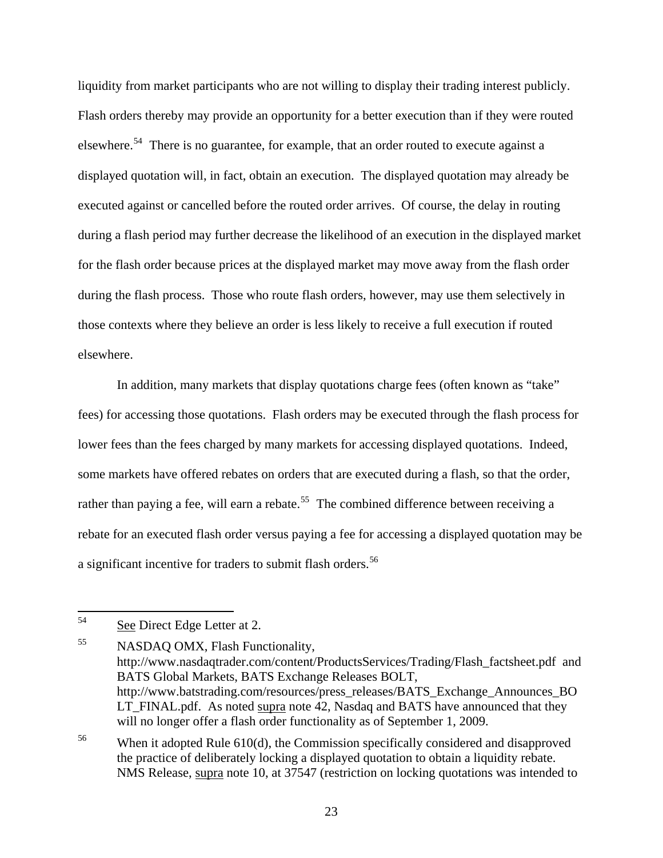liquidity from market participants who are not willing to display their trading interest publicly. Flash orders thereby may provide an opportunity for a better execution than if they were routed elsewhere.<sup>[54](#page-22-0)</sup> There is no guarantee, for example, that an order routed to execute against a displayed quotation will, in fact, obtain an execution. The displayed quotation may already be executed against or cancelled before the routed order arrives. Of course, the delay in routing during a flash period may further decrease the likelihood of an execution in the displayed market for the flash order because prices at the displayed market may move away from the flash order during the flash process. Those who route flash orders, however, may use them selectively in those contexts where they believe an order is less likely to receive a full execution if routed elsewhere.

 In addition, many markets that display quotations charge fees (often known as "take" fees) for accessing those quotations. Flash orders may be executed through the flash process for lower fees than the fees charged by many markets for accessing displayed quotations. Indeed, some markets have offered rebates on orders that are executed during a flash, so that the order, rather than paying a fee, will earn a rebate.<sup>[55](#page-22-1)</sup> The combined difference between receiving a rebate for an executed flash order versus paying a fee for accessing a displayed quotation may be a significant incentive for traders to submit flash orders.<sup>[56](#page-22-2)</sup>

<span id="page-22-0"></span><sup>54</sup> See Direct Edge Letter at 2.

<span id="page-22-1"></span><sup>&</sup>lt;sup>55</sup> NASDAQ OMX, Flash Functionality, http://www.nasdaqtrader.com/content/ProductsServices/Trading/Flash\_factsheet.pdf and BATS Global Markets, BATS Exchange Releases BOLT, http://www.batstrading.com/resources/press\_releases/BATS\_Exchange\_Announces\_BO LT\_FINAL.pdf. As noted supra note 42, Nasdaq and BATS have announced that they will no longer offer a flash order functionality as of September 1, 2009.

<span id="page-22-2"></span><sup>&</sup>lt;sup>56</sup> When it adopted Rule 610(d), the Commission specifically considered and disapproved the practice of deliberately locking a displayed quotation to obtain a liquidity rebate. NMS Release, supra note 10, at 37547 (restriction on locking quotations was intended to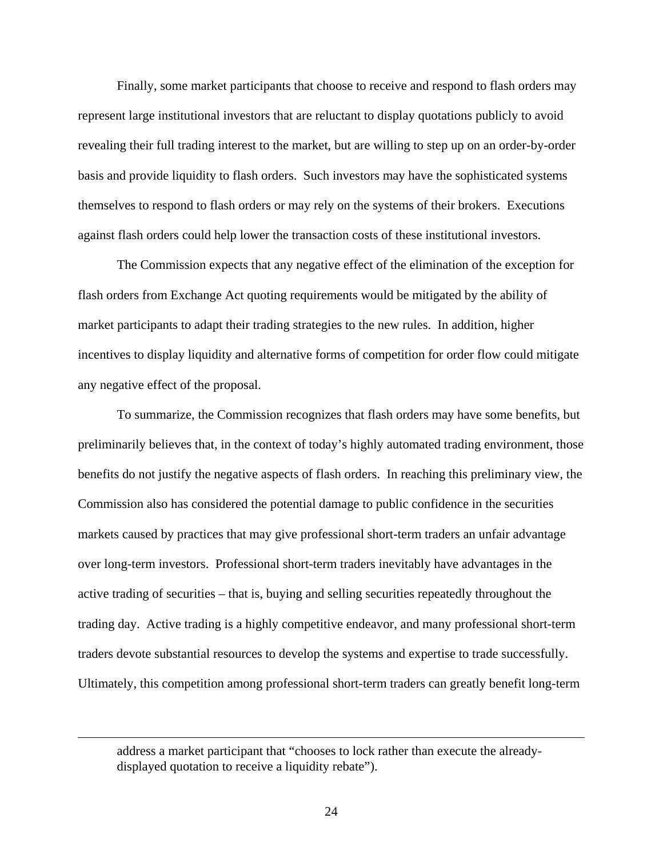Finally, some market participants that choose to receive and respond to flash orders may represent large institutional investors that are reluctant to display quotations publicly to avoid revealing their full trading interest to the market, but are willing to step up on an order-by-order basis and provide liquidity to flash orders. Such investors may have the sophisticated systems themselves to respond to flash orders or may rely on the systems of their brokers. Executions against flash orders could help lower the transaction costs of these institutional investors.

 The Commission expects that any negative effect of the elimination of the exception for flash orders from Exchange Act quoting requirements would be mitigated by the ability of market participants to adapt their trading strategies to the new rules. In addition, higher incentives to display liquidity and alternative forms of competition for order flow could mitigate any negative effect of the proposal.

 To summarize, the Commission recognizes that flash orders may have some benefits, but preliminarily believes that, in the context of today's highly automated trading environment, those benefits do not justify the negative aspects of flash orders. In reaching this preliminary view, the Commission also has considered the potential damage to public confidence in the securities markets caused by practices that may give professional short-term traders an unfair advantage over long-term investors. Professional short-term traders inevitably have advantages in the active trading of securities – that is, buying and selling securities repeatedly throughout the trading day. Active trading is a highly competitive endeavor, and many professional short-term traders devote substantial resources to develop the systems and expertise to trade successfully. Ultimately, this competition among professional short-term traders can greatly benefit long-term

address a market participant that "chooses to lock rather than execute the alreadydisplayed quotation to receive a liquidity rebate").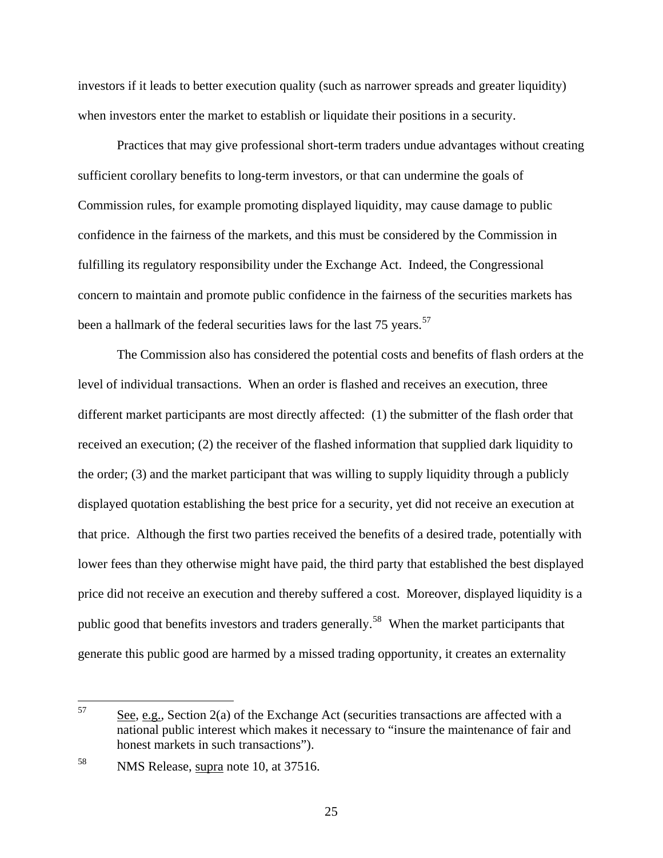investors if it leads to better execution quality (such as narrower spreads and greater liquidity) when investors enter the market to establish or liquidate their positions in a security.

Practices that may give professional short-term traders undue advantages without creating sufficient corollary benefits to long-term investors, or that can undermine the goals of Commission rules, for example promoting displayed liquidity, may cause damage to public confidence in the fairness of the markets, and this must be considered by the Commission in fulfilling its regulatory responsibility under the Exchange Act. Indeed, the Congressional concern to maintain and promote public confidence in the fairness of the securities markets has been a hallmark of the federal securities laws for the last 75 years.<sup>[57](#page-24-0)</sup>

The Commission also has considered the potential costs and benefits of flash orders at the level of individual transactions. When an order is flashed and receives an execution, three different market participants are most directly affected: (1) the submitter of the flash order that received an execution; (2) the receiver of the flashed information that supplied dark liquidity to the order; (3) and the market participant that was willing to supply liquidity through a publicly displayed quotation establishing the best price for a security, yet did not receive an execution at that price. Although the first two parties received the benefits of a desired trade, potentially with lower fees than they otherwise might have paid, the third party that established the best displayed price did not receive an execution and thereby suffered a cost. Moreover, displayed liquidity is a public good that benefits investors and traders generally.<sup>[58](#page-24-1)</sup> When the market participants that generate this public good are harmed by a missed trading opportunity, it creates an externality

<span id="page-24-0"></span><sup>57</sup> See, e.g., Section 2(a) of the Exchange Act (securities transactions are affected with a national public interest which makes it necessary to "insure the maintenance of fair and honest markets in such transactions").

<span id="page-24-1"></span><sup>58</sup> NMS Release, supra note 10, at 37516.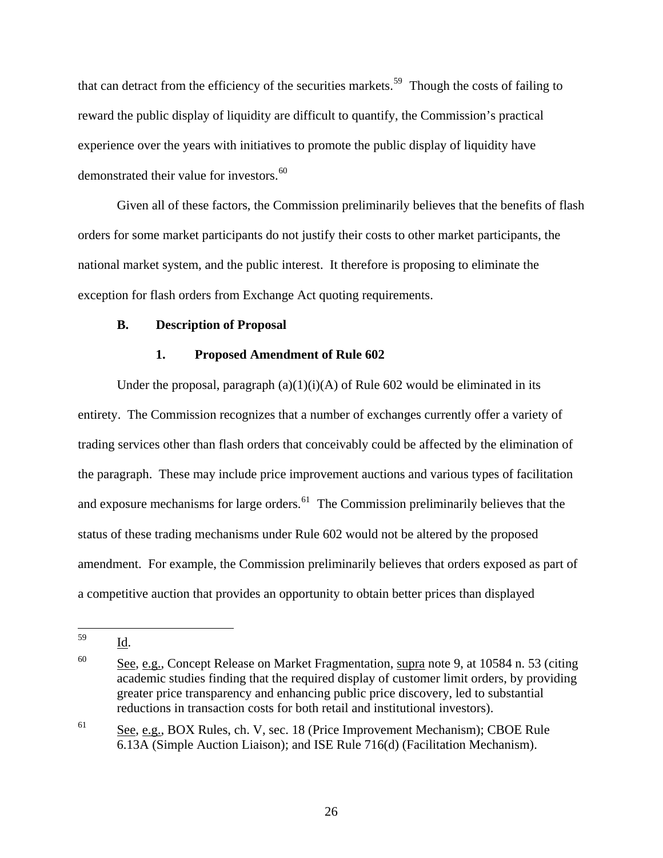that can detract from the efficiency of the securities markets.<sup>[59](#page-25-0)</sup> Though the costs of failing to reward the public display of liquidity are difficult to quantify, the Commission's practical experience over the years with initiatives to promote the public display of liquidity have demonstrated their value for investors.<sup>[60](#page-25-1)</sup>

 Given all of these factors, the Commission preliminarily believes that the benefits of flash orders for some market participants do not justify their costs to other market participants, the national market system, and the public interest. It therefore is proposing to eliminate the exception for flash orders from Exchange Act quoting requirements.

## **B. Description of Proposal**

## **1. Proposed Amendment of Rule 602**

Under the proposal, paragraph  $(a)(1)(i)(A)$  of Rule 602 would be eliminated in its entirety. The Commission recognizes that a number of exchanges currently offer a variety of trading services other than flash orders that conceivably could be affected by the elimination of the paragraph. These may include price improvement auctions and various types of facilitation and exposure mechanisms for large orders.<sup>[61](#page-25-2)</sup> The Commission preliminarily believes that the status of these trading mechanisms under Rule 602 would not be altered by the proposed amendment. For example, the Commission preliminarily believes that orders exposed as part of a competitive auction that provides an opportunity to obtain better prices than displayed

Id.

<span id="page-25-2"></span><sup>61</sup> See, e.g., BOX Rules, ch. V, sec. 18 (Price Improvement Mechanism); CBOE Rule 6.13A (Simple Auction Liaison); and ISE Rule 716(d) (Facilitation Mechanism).

<span id="page-25-0"></span><sup>59</sup> 

<span id="page-25-1"></span> $60$  See, e.g., Concept Release on Market Fragmentation, supra note 9, at 10584 n. 53 (citing academic studies finding that the required display of customer limit orders, by providing greater price transparency and enhancing public price discovery, led to substantial reductions in transaction costs for both retail and institutional investors).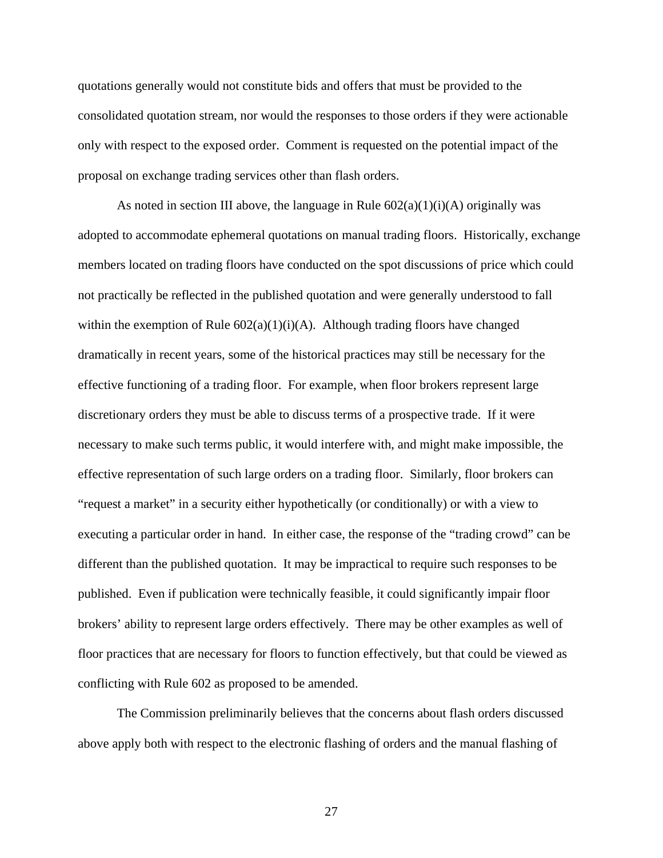quotations generally would not constitute bids and offers that must be provided to the consolidated quotation stream, nor would the responses to those orders if they were actionable only with respect to the exposed order. Comment is requested on the potential impact of the proposal on exchange trading services other than flash orders.

As noted in section III above, the language in Rule  $602(a)(1)(i)(A)$  originally was adopted to accommodate ephemeral quotations on manual trading floors. Historically, exchange members located on trading floors have conducted on the spot discussions of price which could not practically be reflected in the published quotation and were generally understood to fall within the exemption of Rule  $602(a)(1)(i)(A)$ . Although trading floors have changed dramatically in recent years, some of the historical practices may still be necessary for the effective functioning of a trading floor. For example, when floor brokers represent large discretionary orders they must be able to discuss terms of a prospective trade. If it were necessary to make such terms public, it would interfere with, and might make impossible, the effective representation of such large orders on a trading floor. Similarly, floor brokers can "request a market" in a security either hypothetically (or conditionally) or with a view to executing a particular order in hand. In either case, the response of the "trading crowd" can be different than the published quotation. It may be impractical to require such responses to be published. Even if publication were technically feasible, it could significantly impair floor brokers' ability to represent large orders effectively. There may be other examples as well of floor practices that are necessary for floors to function effectively, but that could be viewed as conflicting with Rule 602 as proposed to be amended.

 The Commission preliminarily believes that the concerns about flash orders discussed above apply both with respect to the electronic flashing of orders and the manual flashing of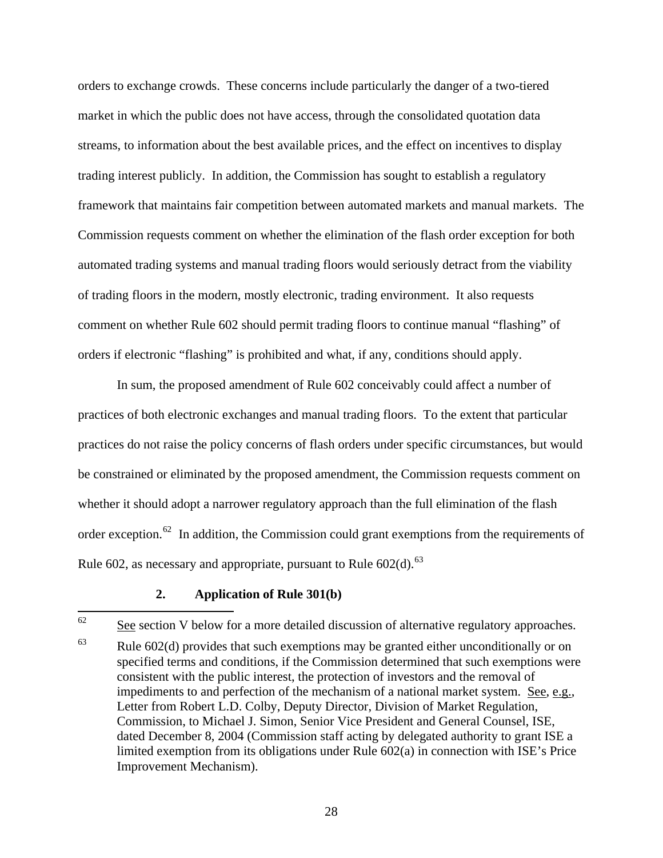orders to exchange crowds. These concerns include particularly the danger of a two-tiered market in which the public does not have access, through the consolidated quotation data streams, to information about the best available prices, and the effect on incentives to display trading interest publicly. In addition, the Commission has sought to establish a regulatory framework that maintains fair competition between automated markets and manual markets. The Commission requests comment on whether the elimination of the flash order exception for both automated trading systems and manual trading floors would seriously detract from the viability of trading floors in the modern, mostly electronic, trading environment. It also requests comment on whether Rule 602 should permit trading floors to continue manual "flashing" of orders if electronic "flashing" is prohibited and what, if any, conditions should apply.

 In sum, the proposed amendment of Rule 602 conceivably could affect a number of practices of both electronic exchanges and manual trading floors. To the extent that particular practices do not raise the policy concerns of flash orders under specific circumstances, but would be constrained or eliminated by the proposed amendment, the Commission requests comment on whether it should adopt a narrower regulatory approach than the full elimination of the flash order exception.<sup>[62](#page-27-0)</sup> In addition, the Commission could grant exemptions from the requirements of Rule 602, as necessary and appropriate, pursuant to Rule  $602(d)$ .<sup>[63](#page-27-1)</sup>

## **2. Application of Rule 301(b)**

<span id="page-27-0"></span><sup>62</sup> See section V below for a more detailed discussion of alternative regulatory approaches.

<span id="page-27-1"></span> $63$  Rule 602(d) provides that such exemptions may be granted either unconditionally or on specified terms and conditions, if the Commission determined that such exemptions were consistent with the public interest, the protection of investors and the removal of impediments to and perfection of the mechanism of a national market system. See, e.g., Letter from Robert L.D. Colby, Deputy Director, Division of Market Regulation, Commission, to Michael J. Simon, Senior Vice President and General Counsel, ISE, dated December 8, 2004 (Commission staff acting by delegated authority to grant ISE a limited exemption from its obligations under Rule 602(a) in connection with ISE's Price Improvement Mechanism).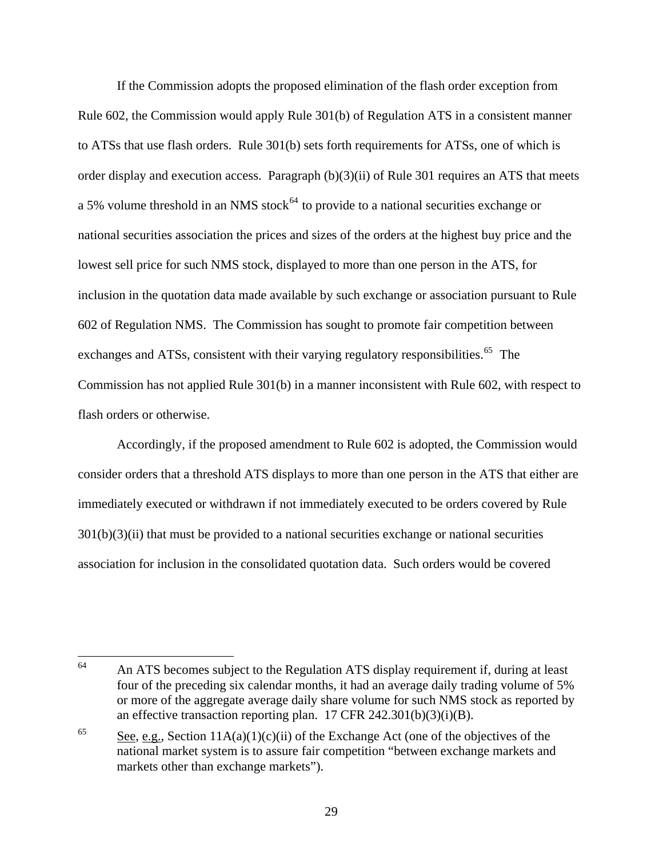If the Commission adopts the proposed elimination of the flash order exception from Rule 602, the Commission would apply Rule 301(b) of Regulation ATS in a consistent manner to ATSs that use flash orders. Rule 301(b) sets forth requirements for ATSs, one of which is order display and execution access. Paragraph (b)(3)(ii) of Rule 301 requires an ATS that meets a 5% volume threshold in an NMS stock<sup> $64$ </sup> to provide to a national securities exchange or national securities association the prices and sizes of the orders at the highest buy price and the lowest sell price for such NMS stock, displayed to more than one person in the ATS, for inclusion in the quotation data made available by such exchange or association pursuant to Rule 602 of Regulation NMS. The Commission has sought to promote fair competition between exchanges and ATSs, consistent with their varying regulatory responsibilities.<sup> $65$ </sup> The Commission has not applied Rule 301(b) in a manner inconsistent with Rule 602, with respect to flash orders or otherwise.

 Accordingly, if the proposed amendment to Rule 602 is adopted, the Commission would consider orders that a threshold ATS displays to more than one person in the ATS that either are immediately executed or withdrawn if not immediately executed to be orders covered by Rule  $301(b)(3)(ii)$  that must be provided to a national securities exchange or national securities association for inclusion in the consolidated quotation data. Such orders would be covered

<span id="page-28-0"></span><sup>64</sup> 64 An ATS becomes subject to the Regulation ATS display requirement if, during at least four of the preceding six calendar months, it had an average daily trading volume of 5% or more of the aggregate average daily share volume for such NMS stock as reported by an effective transaction reporting plan. 17 CFR 242.301(b)(3)(i)(B).

<span id="page-28-1"></span><sup>&</sup>lt;sup>65</sup> See, e.g., Section  $11A(a)(1)(c)(ii)$  of the Exchange Act (one of the objectives of the national market system is to assure fair competition "between exchange markets and markets other than exchange markets").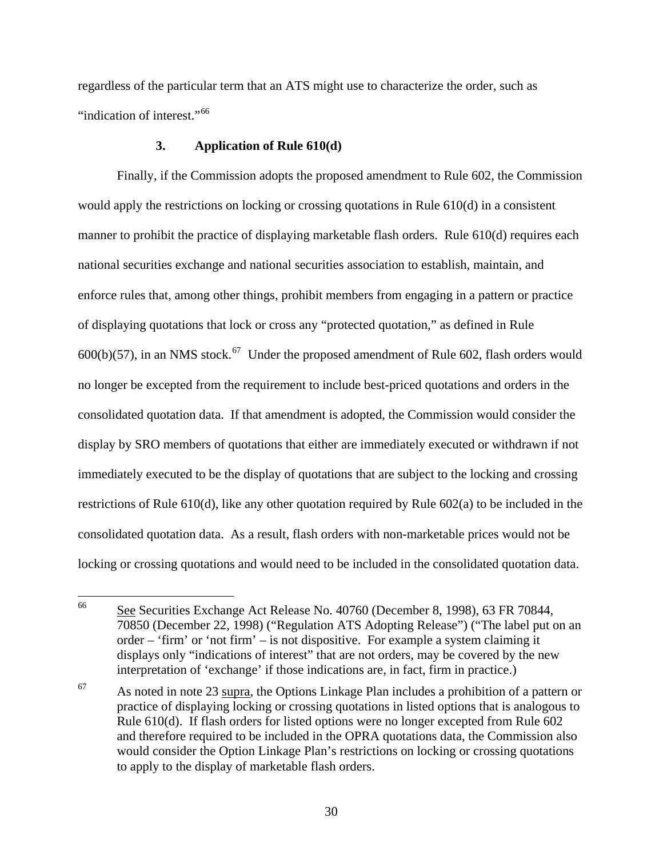regardless of the particular term that an ATS might use to characterize the order, such as "indication of interest."<sup>[66](#page-29-0)</sup>

## **3. Application of Rule 610(d)**

 Finally, if the Commission adopts the proposed amendment to Rule 602, the Commission would apply the restrictions on locking or crossing quotations in Rule 610(d) in a consistent manner to prohibit the practice of displaying marketable flash orders. Rule 610(d) requires each national securities exchange and national securities association to establish, maintain, and enforce rules that, among other things, prohibit members from engaging in a pattern or practice of displaying quotations that lock or cross any "protected quotation," as defined in Rule  $600(b)(57)$ , in an NMS stock.<sup>[67](#page-29-1)</sup> Under the proposed amendment of Rule 602, flash orders would no longer be excepted from the requirement to include best-priced quotations and orders in the consolidated quotation data. If that amendment is adopted, the Commission would consider the display by SRO members of quotations that either are immediately executed or withdrawn if not immediately executed to be the display of quotations that are subject to the locking and crossing restrictions of Rule 610(d), like any other quotation required by Rule 602(a) to be included in the consolidated quotation data. As a result, flash orders with non-marketable prices would not be locking or crossing quotations and would need to be included in the consolidated quotation data.

<span id="page-29-0"></span><sup>66</sup> 66 See Securities Exchange Act Release No. 40760 (December 8, 1998), 63 FR 70844, 70850 (December 22, 1998) ("Regulation ATS Adopting Release") ("The label put on an order – 'firm' or 'not firm' – is not dispositive. For example a system claiming it displays only "indications of interest" that are not orders, may be covered by the new interpretation of 'exchange' if those indications are, in fact, firm in practice.)

<span id="page-29-1"></span> $67$  As noted in note 23 supra, the Options Linkage Plan includes a prohibition of a pattern or practice of displaying locking or crossing quotations in listed options that is analogous to Rule 610(d). If flash orders for listed options were no longer excepted from Rule 602 and therefore required to be included in the OPRA quotations data, the Commission also would consider the Option Linkage Plan's restrictions on locking or crossing quotations to apply to the display of marketable flash orders.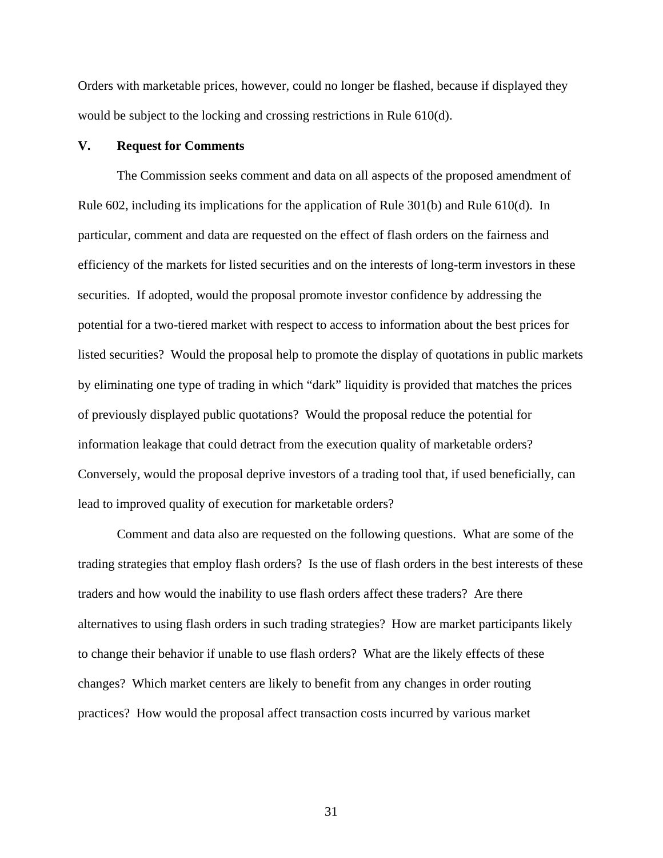Orders with marketable prices, however, could no longer be flashed, because if displayed they would be subject to the locking and crossing restrictions in Rule 610(d).

## **V. Request for Comments**

 The Commission seeks comment and data on all aspects of the proposed amendment of Rule 602, including its implications for the application of Rule 301(b) and Rule 610(d). In particular, comment and data are requested on the effect of flash orders on the fairness and efficiency of the markets for listed securities and on the interests of long-term investors in these securities. If adopted, would the proposal promote investor confidence by addressing the potential for a two-tiered market with respect to access to information about the best prices for listed securities? Would the proposal help to promote the display of quotations in public markets by eliminating one type of trading in which "dark" liquidity is provided that matches the prices of previously displayed public quotations? Would the proposal reduce the potential for information leakage that could detract from the execution quality of marketable orders? Conversely, would the proposal deprive investors of a trading tool that, if used beneficially, can lead to improved quality of execution for marketable orders?

 Comment and data also are requested on the following questions. What are some of the trading strategies that employ flash orders? Is the use of flash orders in the best interests of these traders and how would the inability to use flash orders affect these traders? Are there alternatives to using flash orders in such trading strategies? How are market participants likely to change their behavior if unable to use flash orders? What are the likely effects of these changes? Which market centers are likely to benefit from any changes in order routing practices? How would the proposal affect transaction costs incurred by various market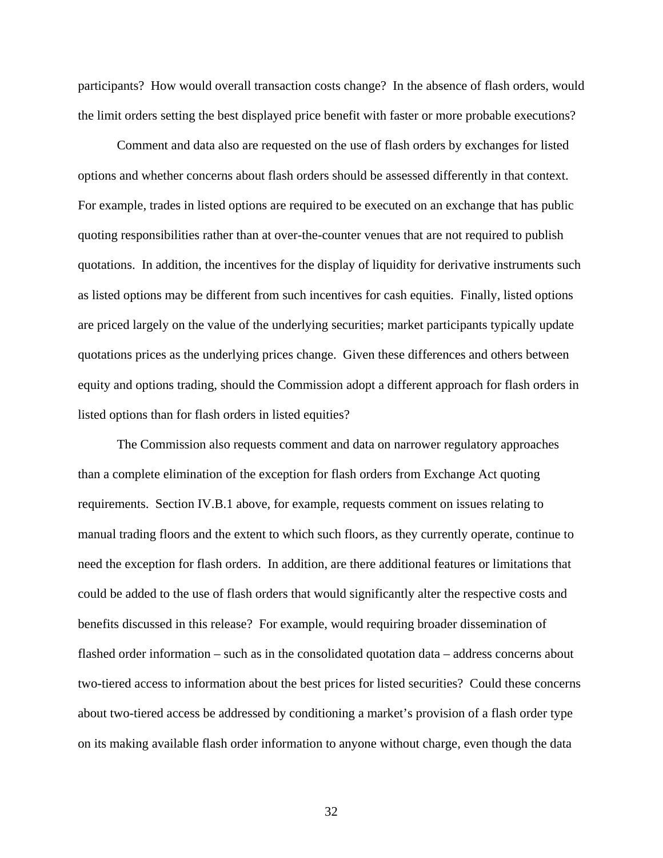participants? How would overall transaction costs change? In the absence of flash orders, would the limit orders setting the best displayed price benefit with faster or more probable executions?

 Comment and data also are requested on the use of flash orders by exchanges for listed options and whether concerns about flash orders should be assessed differently in that context. For example, trades in listed options are required to be executed on an exchange that has public quoting responsibilities rather than at over-the-counter venues that are not required to publish quotations. In addition, the incentives for the display of liquidity for derivative instruments such as listed options may be different from such incentives for cash equities. Finally, listed options are priced largely on the value of the underlying securities; market participants typically update quotations prices as the underlying prices change. Given these differences and others between equity and options trading, should the Commission adopt a different approach for flash orders in listed options than for flash orders in listed equities?

 The Commission also requests comment and data on narrower regulatory approaches than a complete elimination of the exception for flash orders from Exchange Act quoting requirements. Section IV.B.1 above, for example, requests comment on issues relating to manual trading floors and the extent to which such floors, as they currently operate, continue to need the exception for flash orders. In addition, are there additional features or limitations that could be added to the use of flash orders that would significantly alter the respective costs and benefits discussed in this release? For example, would requiring broader dissemination of flashed order information – such as in the consolidated quotation data – address concerns about two-tiered access to information about the best prices for listed securities? Could these concerns about two-tiered access be addressed by conditioning a market's provision of a flash order type on its making available flash order information to anyone without charge, even though the data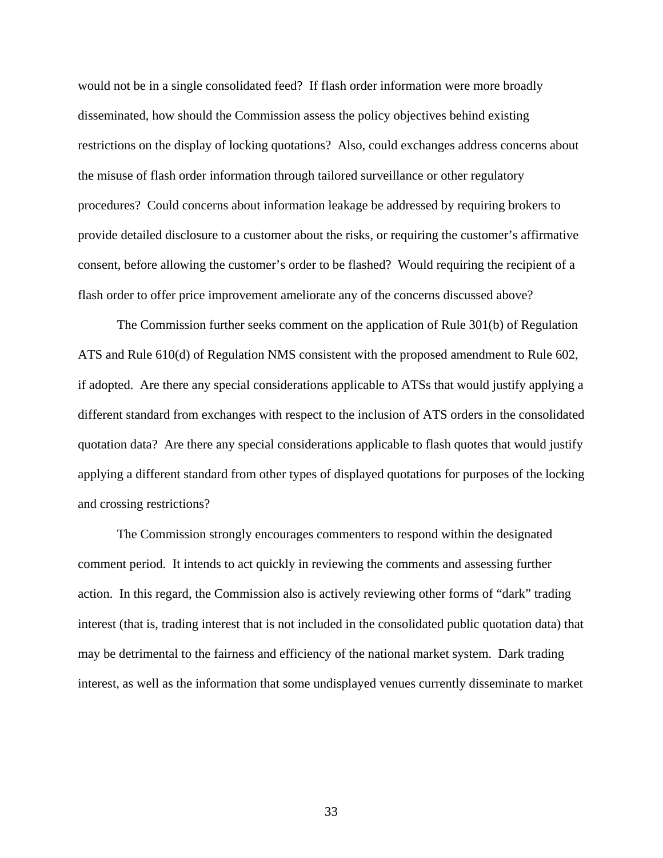would not be in a single consolidated feed? If flash order information were more broadly disseminated, how should the Commission assess the policy objectives behind existing restrictions on the display of locking quotations? Also, could exchanges address concerns about the misuse of flash order information through tailored surveillance or other regulatory procedures? Could concerns about information leakage be addressed by requiring brokers to provide detailed disclosure to a customer about the risks, or requiring the customer's affirmative consent, before allowing the customer's order to be flashed? Would requiring the recipient of a flash order to offer price improvement ameliorate any of the concerns discussed above?

 The Commission further seeks comment on the application of Rule 301(b) of Regulation ATS and Rule 610(d) of Regulation NMS consistent with the proposed amendment to Rule 602, if adopted. Are there any special considerations applicable to ATSs that would justify applying a different standard from exchanges with respect to the inclusion of ATS orders in the consolidated quotation data? Are there any special considerations applicable to flash quotes that would justify applying a different standard from other types of displayed quotations for purposes of the locking and crossing restrictions?

 The Commission strongly encourages commenters to respond within the designated comment period. It intends to act quickly in reviewing the comments and assessing further action. In this regard, the Commission also is actively reviewing other forms of "dark" trading interest (that is, trading interest that is not included in the consolidated public quotation data) that may be detrimental to the fairness and efficiency of the national market system. Dark trading interest, as well as the information that some undisplayed venues currently disseminate to market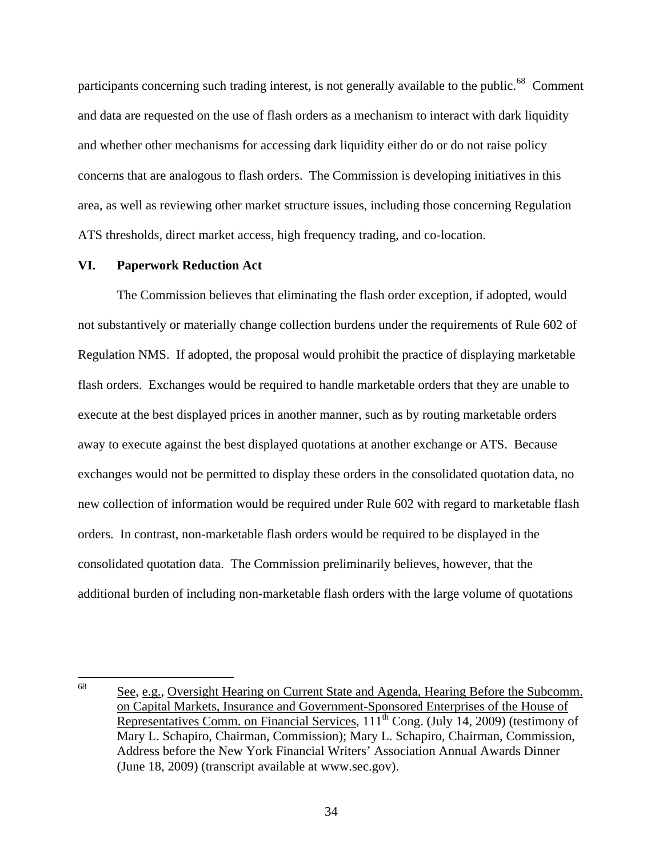participants concerning such trading interest, is not generally available to the public.<sup>[68](#page-33-0)</sup> Comment and data are requested on the use of flash orders as a mechanism to interact with dark liquidity and whether other mechanisms for accessing dark liquidity either do or do not raise policy concerns that are analogous to flash orders. The Commission is developing initiatives in this area, as well as reviewing other market structure issues, including those concerning Regulation ATS thresholds, direct market access, high frequency trading, and co-location.

#### **VI. Paperwork Reduction Act**

 The Commission believes that eliminating the flash order exception, if adopted, would not substantively or materially change collection burdens under the requirements of Rule 602 of Regulation NMS. If adopted, the proposal would prohibit the practice of displaying marketable flash orders. Exchanges would be required to handle marketable orders that they are unable to execute at the best displayed prices in another manner, such as by routing marketable orders away to execute against the best displayed quotations at another exchange or ATS. Because exchanges would not be permitted to display these orders in the consolidated quotation data, no new collection of information would be required under Rule 602 with regard to marketable flash orders. In contrast, non-marketable flash orders would be required to be displayed in the consolidated quotation data. The Commission preliminarily believes, however, that the additional burden of including non-marketable flash orders with the large volume of quotations

<span id="page-33-0"></span><sup>68</sup> See, e.g., Oversight Hearing on Current State and Agenda, Hearing Before the Subcomm. on Capital Markets, Insurance and Government-Sponsored Enterprises of the House of Representatives Comm. on Financial Services, 111th Cong. (July 14, 2009) (testimony of Mary L. Schapiro, Chairman, Commission); Mary L. Schapiro, Chairman, Commission, Address before the New York Financial Writers' Association Annual Awards Dinner (June 18, 2009) (transcript available at www.sec.gov).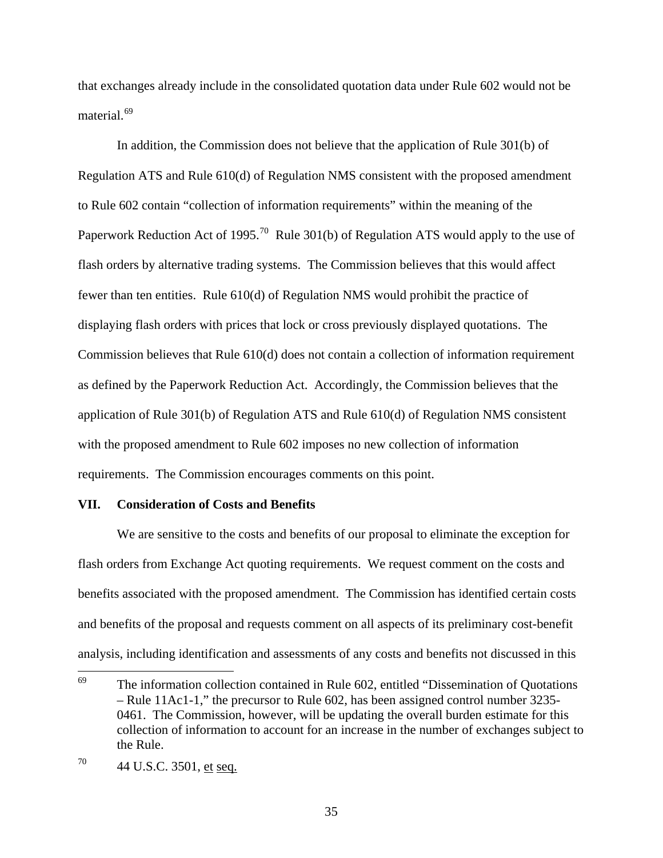that exchanges already include in the consolidated quotation data under Rule 602 would not be material.<sup>[69](#page-34-0)</sup>

 In addition, the Commission does not believe that the application of Rule 301(b) of Regulation ATS and Rule 610(d) of Regulation NMS consistent with the proposed amendment to Rule 602 contain "collection of information requirements" within the meaning of the Paperwork Reduction Act of 1995.<sup>[70](#page-34-1)</sup> Rule 301(b) of Regulation ATS would apply to the use of flash orders by alternative trading systems. The Commission believes that this would affect fewer than ten entities. Rule 610(d) of Regulation NMS would prohibit the practice of displaying flash orders with prices that lock or cross previously displayed quotations. The Commission believes that Rule 610(d) does not contain a collection of information requirement as defined by the Paperwork Reduction Act. Accordingly, the Commission believes that the application of Rule 301(b) of Regulation ATS and Rule 610(d) of Regulation NMS consistent with the proposed amendment to Rule 602 imposes no new collection of information requirements. The Commission encourages comments on this point.

#### **VII. Consideration of Costs and Benefits**

We are sensitive to the costs and benefits of our proposal to eliminate the exception for flash orders from Exchange Act quoting requirements. We request comment on the costs and benefits associated with the proposed amendment. The Commission has identified certain costs and benefits of the proposal and requests comment on all aspects of its preliminary cost-benefit analysis, including identification and assessments of any costs and benefits not discussed in this

<span id="page-34-0"></span><sup>69</sup> The information collection contained in Rule 602, entitled "Dissemination of Quotations – Rule 11Ac1-1," the precursor to Rule 602, has been assigned control number 3235- 0461. The Commission, however, will be updating the overall burden estimate for this collection of information to account for an increase in the number of exchanges subject to the Rule.

<span id="page-34-1"></span><sup>70 44</sup> U.S.C. 3501, et seq.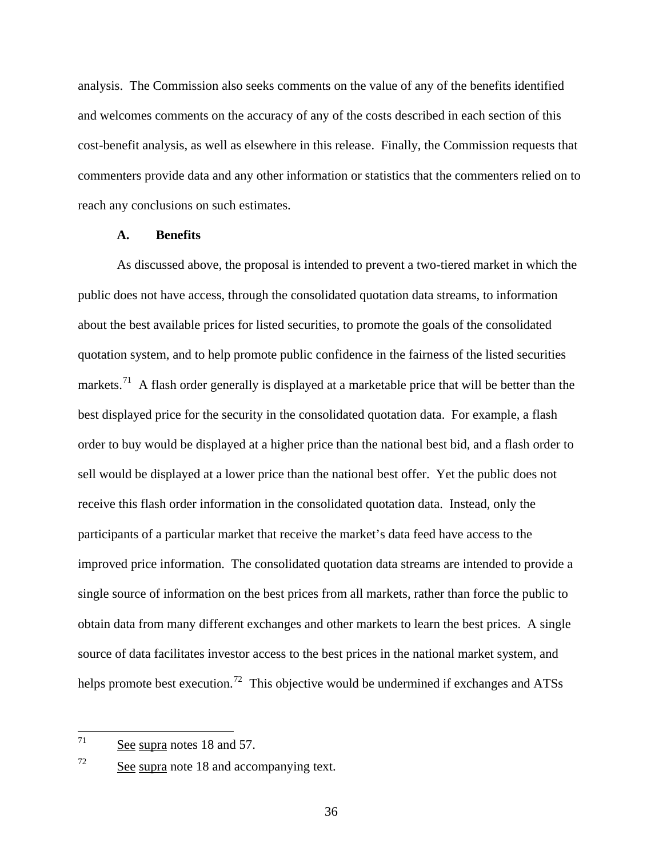analysis. The Commission also seeks comments on the value of any of the benefits identified and welcomes comments on the accuracy of any of the costs described in each section of this cost-benefit analysis, as well as elsewhere in this release. Finally, the Commission requests that commenters provide data and any other information or statistics that the commenters relied on to reach any conclusions on such estimates.

### **A. Benefits**

 As discussed above, the proposal is intended to prevent a two-tiered market in which the public does not have access, through the consolidated quotation data streams, to information about the best available prices for listed securities, to promote the goals of the consolidated quotation system, and to help promote public confidence in the fairness of the listed securities markets.<sup>[71](#page-35-0)</sup> A flash order generally is displayed at a marketable price that will be better than the best displayed price for the security in the consolidated quotation data. For example, a flash order to buy would be displayed at a higher price than the national best bid, and a flash order to sell would be displayed at a lower price than the national best offer. Yet the public does not receive this flash order information in the consolidated quotation data. Instead, only the participants of a particular market that receive the market's data feed have access to the improved price information. The consolidated quotation data streams are intended to provide a single source of information on the best prices from all markets, rather than force the public to obtain data from many different exchanges and other markets to learn the best prices. A single source of data facilitates investor access to the best prices in the national market system, and helps promote best execution.<sup>[72](#page-35-1)</sup> This objective would be undermined if exchanges and ATSs

<span id="page-35-0"></span><sup>71</sup> See supra notes 18 and 57.

<span id="page-35-1"></span> $72$  See supra note 18 and accompanying text.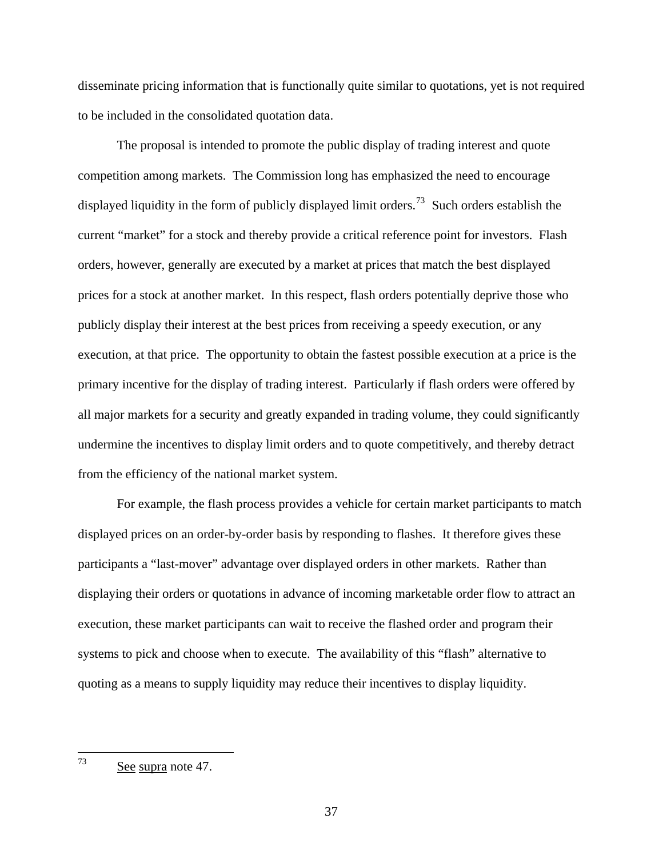disseminate pricing information that is functionally quite similar to quotations, yet is not required to be included in the consolidated quotation data.

 The proposal is intended to promote the public display of trading interest and quote competition among markets. The Commission long has emphasized the need to encourage displayed liquidity in the form of publicly displayed limit orders.<sup>[73](#page-36-0)</sup> Such orders establish the current "market" for a stock and thereby provide a critical reference point for investors. Flash orders, however, generally are executed by a market at prices that match the best displayed prices for a stock at another market. In this respect, flash orders potentially deprive those who publicly display their interest at the best prices from receiving a speedy execution, or any execution, at that price. The opportunity to obtain the fastest possible execution at a price is the primary incentive for the display of trading interest. Particularly if flash orders were offered by all major markets for a security and greatly expanded in trading volume, they could significantly undermine the incentives to display limit orders and to quote competitively, and thereby detract from the efficiency of the national market system.

 For example, the flash process provides a vehicle for certain market participants to match displayed prices on an order-by-order basis by responding to flashes. It therefore gives these participants a "last-mover" advantage over displayed orders in other markets. Rather than displaying their orders or quotations in advance of incoming marketable order flow to attract an execution, these market participants can wait to receive the flashed order and program their systems to pick and choose when to execute. The availability of this "flash" alternative to quoting as a means to supply liquidity may reduce their incentives to display liquidity.

<span id="page-36-0"></span><sup>73</sup> See supra note 47.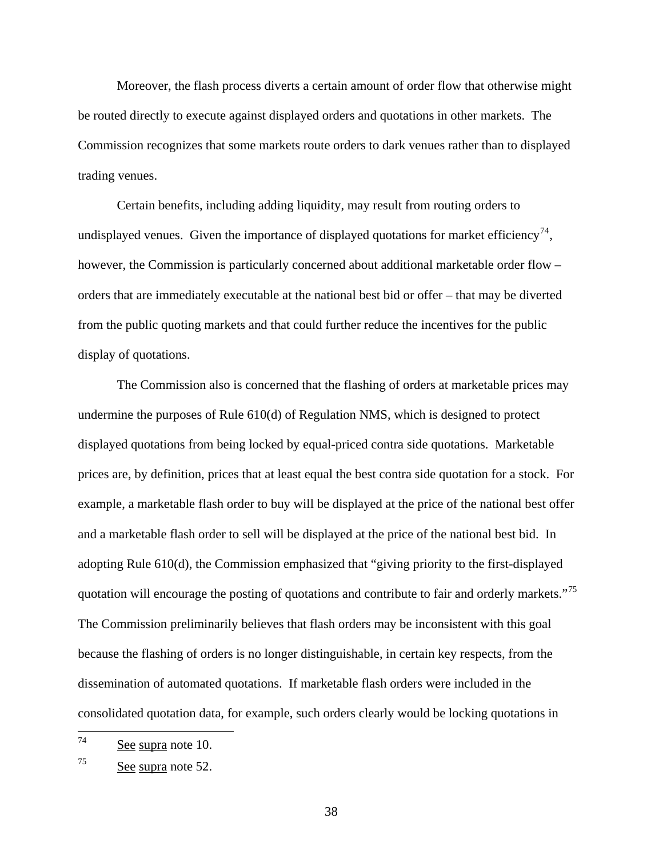Moreover, the flash process diverts a certain amount of order flow that otherwise might be routed directly to execute against displayed orders and quotations in other markets. The Commission recognizes that some markets route orders to dark venues rather than to displayed trading venues.

 Certain benefits, including adding liquidity, may result from routing orders to undisplayed venues. Given the importance of displayed quotations for market efficiency<sup>[74](#page-37-0)</sup>, however, the Commission is particularly concerned about additional marketable order flow – orders that are immediately executable at the national best bid or offer – that may be diverted from the public quoting markets and that could further reduce the incentives for the public display of quotations.

 The Commission also is concerned that the flashing of orders at marketable prices may undermine the purposes of Rule 610(d) of Regulation NMS, which is designed to protect displayed quotations from being locked by equal-priced contra side quotations. Marketable prices are, by definition, prices that at least equal the best contra side quotation for a stock. For example, a marketable flash order to buy will be displayed at the price of the national best offer and a marketable flash order to sell will be displayed at the price of the national best bid. In adopting Rule 610(d), the Commission emphasized that "giving priority to the first-displayed quotation will encourage the posting of quotations and contribute to fair and orderly markets."<sup>[75](#page-37-1)</sup> The Commission preliminarily believes that flash orders may be inconsistent with this goal because the flashing of orders is no longer distinguishable, in certain key respects, from the dissemination of automated quotations. If marketable flash orders were included in the consolidated quotation data, for example, such orders clearly would be locking quotations in

<span id="page-37-0"></span>74 See supra note 10.

<span id="page-37-1"></span><sup>75</sup> See supra note 52.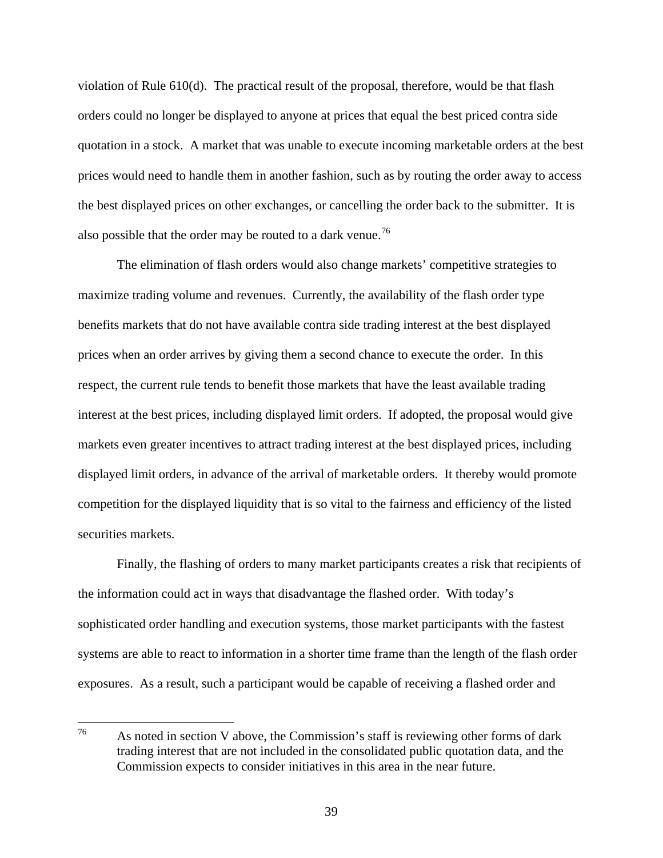violation of Rule 610(d). The practical result of the proposal, therefore, would be that flash orders could no longer be displayed to anyone at prices that equal the best priced contra side quotation in a stock. A market that was unable to execute incoming marketable orders at the best prices would need to handle them in another fashion, such as by routing the order away to access the best displayed prices on other exchanges, or cancelling the order back to the submitter. It is also possible that the order may be routed to a dark venue.<sup>[76](#page-38-0)</sup>

 The elimination of flash orders would also change markets' competitive strategies to maximize trading volume and revenues. Currently, the availability of the flash order type benefits markets that do not have available contra side trading interest at the best displayed prices when an order arrives by giving them a second chance to execute the order. In this respect, the current rule tends to benefit those markets that have the least available trading interest at the best prices, including displayed limit orders. If adopted, the proposal would give markets even greater incentives to attract trading interest at the best displayed prices, including displayed limit orders, in advance of the arrival of marketable orders. It thereby would promote competition for the displayed liquidity that is so vital to the fairness and efficiency of the listed securities markets.

 Finally, the flashing of orders to many market participants creates a risk that recipients of the information could act in ways that disadvantage the flashed order. With today's sophisticated order handling and execution systems, those market participants with the fastest systems are able to react to information in a shorter time frame than the length of the flash order exposures. As a result, such a participant would be capable of receiving a flashed order and

<span id="page-38-0"></span><sup>76</sup> As noted in section V above, the Commission's staff is reviewing other forms of dark trading interest that are not included in the consolidated public quotation data, and the Commission expects to consider initiatives in this area in the near future.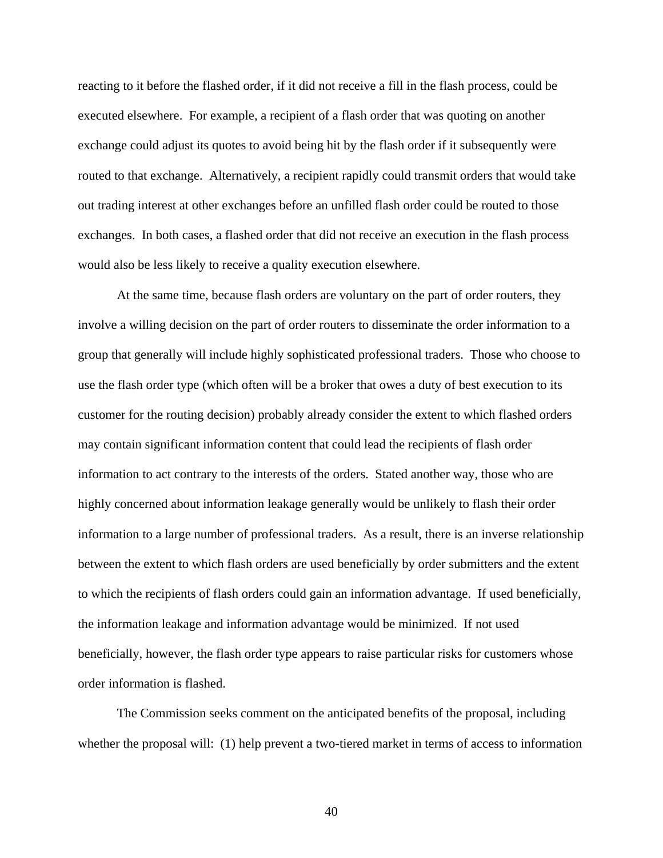reacting to it before the flashed order, if it did not receive a fill in the flash process, could be executed elsewhere. For example, a recipient of a flash order that was quoting on another exchange could adjust its quotes to avoid being hit by the flash order if it subsequently were routed to that exchange. Alternatively, a recipient rapidly could transmit orders that would take out trading interest at other exchanges before an unfilled flash order could be routed to those exchanges. In both cases, a flashed order that did not receive an execution in the flash process would also be less likely to receive a quality execution elsewhere.

 At the same time, because flash orders are voluntary on the part of order routers, they involve a willing decision on the part of order routers to disseminate the order information to a group that generally will include highly sophisticated professional traders. Those who choose to use the flash order type (which often will be a broker that owes a duty of best execution to its customer for the routing decision) probably already consider the extent to which flashed orders may contain significant information content that could lead the recipients of flash order information to act contrary to the interests of the orders. Stated another way, those who are highly concerned about information leakage generally would be unlikely to flash their order information to a large number of professional traders. As a result, there is an inverse relationship between the extent to which flash orders are used beneficially by order submitters and the extent to which the recipients of flash orders could gain an information advantage. If used beneficially, the information leakage and information advantage would be minimized. If not used beneficially, however, the flash order type appears to raise particular risks for customers whose order information is flashed.

The Commission seeks comment on the anticipated benefits of the proposal, including whether the proposal will: (1) help prevent a two-tiered market in terms of access to information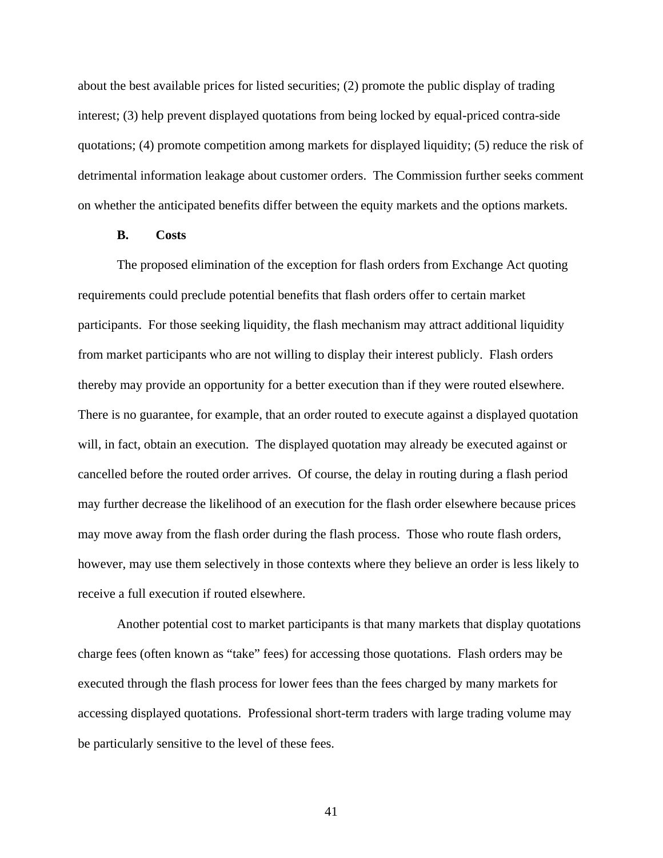about the best available prices for listed securities; (2) promote the public display of trading interest; (3) help prevent displayed quotations from being locked by equal-priced contra-side quotations; (4) promote competition among markets for displayed liquidity; (5) reduce the risk of detrimental information leakage about customer orders. The Commission further seeks comment on whether the anticipated benefits differ between the equity markets and the options markets.

#### **B. Costs**

The proposed elimination of the exception for flash orders from Exchange Act quoting requirements could preclude potential benefits that flash orders offer to certain market participants. For those seeking liquidity, the flash mechanism may attract additional liquidity from market participants who are not willing to display their interest publicly. Flash orders thereby may provide an opportunity for a better execution than if they were routed elsewhere. There is no guarantee, for example, that an order routed to execute against a displayed quotation will, in fact, obtain an execution. The displayed quotation may already be executed against or cancelled before the routed order arrives. Of course, the delay in routing during a flash period may further decrease the likelihood of an execution for the flash order elsewhere because prices may move away from the flash order during the flash process. Those who route flash orders, however, may use them selectively in those contexts where they believe an order is less likely to receive a full execution if routed elsewhere.

Another potential cost to market participants is that many markets that display quotations charge fees (often known as "take" fees) for accessing those quotations. Flash orders may be executed through the flash process for lower fees than the fees charged by many markets for accessing displayed quotations. Professional short-term traders with large trading volume may be particularly sensitive to the level of these fees.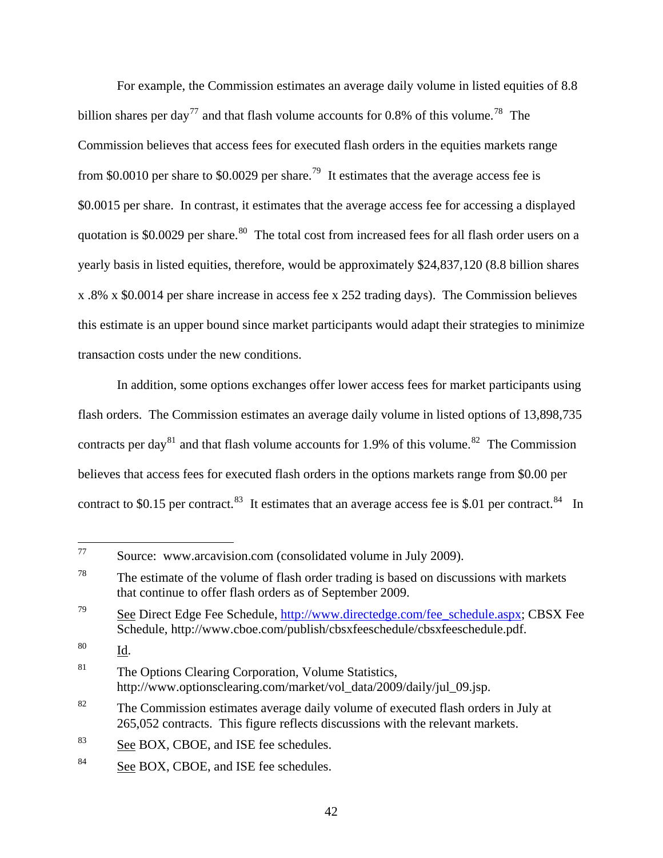For example, the Commission estimates an average daily volume in listed equities of 8.8 billion shares per day<sup>[77](#page-41-0)</sup> and that flash volume accounts for 0.8% of this volume.<sup>[78](#page-41-1)</sup> The Commission believes that access fees for executed flash orders in the equities markets range from \$0.0010 per share to \$0.0029 per share.<sup>[79](#page-41-2)</sup> It estimates that the average access fee is \$0.0015 per share. In contrast, it estimates that the average access fee for accessing a displayed quotation is \$0.0029 per share.<sup>[80](#page-41-3)</sup> The total cost from increased fees for all flash order users on a yearly basis in listed equities, therefore, would be approximately \$24,837,120 (8.8 billion shares x .8% x \$0.0014 per share increase in access fee x 252 trading days). The Commission believes this estimate is an upper bound since market participants would adapt their strategies to minimize transaction costs under the new conditions.

In addition, some options exchanges offer lower access fees for market participants using flash orders. The Commission estimates an average daily volume in listed options of 13,898,735 contracts per day<sup>[81](#page-41-4)</sup> and that flash volume accounts for 1.9% of this volume.<sup>82</sup> The Commission believes that access fees for executed flash orders in the options markets range from \$0.00 per contract to \$0.15 per contract.<sup>[83](#page-41-6)</sup> It estimates that an average access fee is \$.01 per contract.<sup>[84](#page-41-7)</sup> In

<span id="page-41-0"></span> $77\,$ Source: www.arcavision.com (consolidated volume in July 2009).

<span id="page-41-1"></span> $78$  The estimate of the volume of flash order trading is based on discussions with markets that continue to offer flash orders as of September 2009.

<span id="page-41-2"></span> $79$  See Direct Edge Fee Schedule, http://www.directedge.com/fee\_schedule.aspx; CBSX Fee Schedule, http://www.cboe.com/publish/cbsxfeeschedule/cbsxfeeschedule.pdf.

<span id="page-41-3"></span><sup>80</sup> Id.

<span id="page-41-4"></span><sup>&</sup>lt;sup>81</sup> The Options Clearing Corporation, Volume Statistics, http://www.optionsclearing.com/market/vol\_data/2009/daily/jul\_09.jsp.

<span id="page-41-5"></span><sup>&</sup>lt;sup>82</sup> The Commission estimates average daily volume of executed flash orders in July at 265,052 contracts. This figure reflects discussions with the relevant markets.

<span id="page-41-6"></span><sup>&</sup>lt;sup>83</sup> See BOX, CBOE, and ISE fee schedules.

<span id="page-41-7"></span><sup>84</sup> See BOX, CBOE, and ISE fee schedules.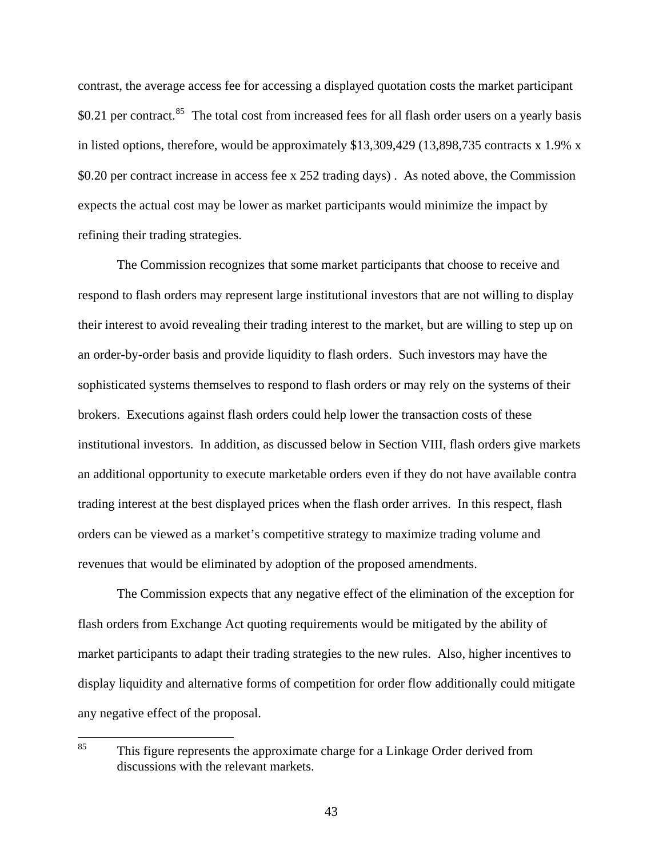contrast, the average access fee for accessing a displayed quotation costs the market participant \$0.21 per contract.<sup>[85](#page-42-0)</sup> The total cost from increased fees for all flash order users on a yearly basis in listed options, therefore, would be approximately \$13,309,429 (13,898,735 contracts x 1.9% x \$0.20 per contract increase in access fee x 252 trading days) . As noted above, the Commission expects the actual cost may be lower as market participants would minimize the impact by refining their trading strategies.

The Commission recognizes that some market participants that choose to receive and respond to flash orders may represent large institutional investors that are not willing to display their interest to avoid revealing their trading interest to the market, but are willing to step up on an order-by-order basis and provide liquidity to flash orders. Such investors may have the sophisticated systems themselves to respond to flash orders or may rely on the systems of their brokers. Executions against flash orders could help lower the transaction costs of these institutional investors. In addition, as discussed below in Section VIII, flash orders give markets an additional opportunity to execute marketable orders even if they do not have available contra trading interest at the best displayed prices when the flash order arrives. In this respect, flash orders can be viewed as a market's competitive strategy to maximize trading volume and revenues that would be eliminated by adoption of the proposed amendments.

 The Commission expects that any negative effect of the elimination of the exception for flash orders from Exchange Act quoting requirements would be mitigated by the ability of market participants to adapt their trading strategies to the new rules. Also, higher incentives to display liquidity and alternative forms of competition for order flow additionally could mitigate any negative effect of the proposal.

<span id="page-42-0"></span><sup>85</sup> This figure represents the approximate charge for a Linkage Order derived from discussions with the relevant markets.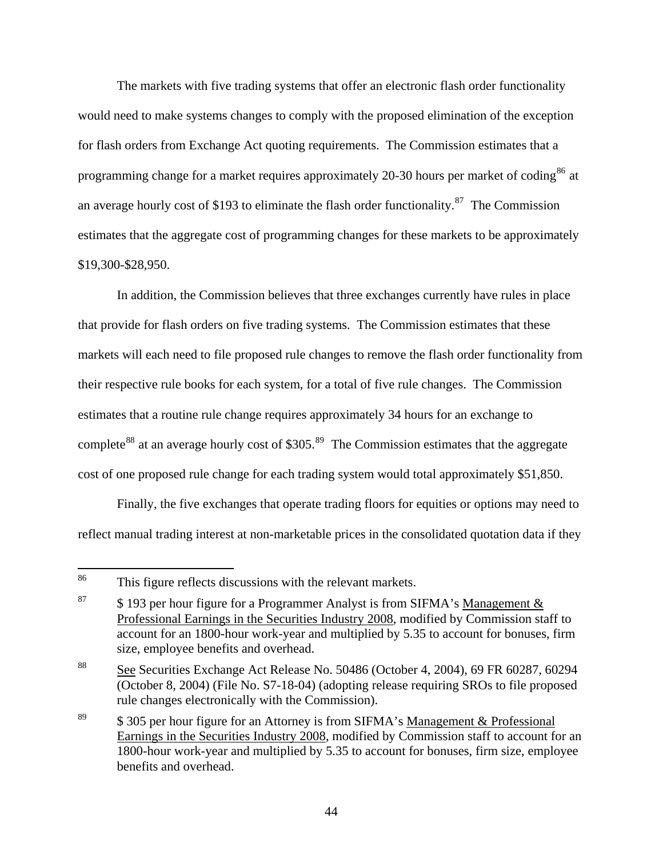The markets with five trading systems that offer an electronic flash order functionality would need to make systems changes to comply with the proposed elimination of the exception for flash orders from Exchange Act quoting requirements. The Commission estimates that a programming change for a market requires approximately 20-30 hours per market of coding<sup>[86](#page-43-0)</sup> at an average hourly cost of \$193 to eliminate the flash order functionality.<sup>[87](#page-43-1)</sup> The Commission estimates that the aggregate cost of programming changes for these markets to be approximately \$19,300-\$28,950.

In addition, the Commission believes that three exchanges currently have rules in place that provide for flash orders on five trading systems. The Commission estimates that these markets will each need to file proposed rule changes to remove the flash order functionality from their respective rule books for each system, for a total of five rule changes. The Commission estimates that a routine rule change requires approximately 34 hours for an exchange to complete<sup>[88](#page-43-2)</sup> at an average hourly cost of \$305.<sup>[89](#page-43-3)</sup> The Commission estimates that the aggregate cost of one proposed rule change for each trading system would total approximately \$51,850.

Finally, the five exchanges that operate trading floors for equities or options may need to reflect manual trading interest at non-marketable prices in the consolidated quotation data if they

<span id="page-43-0"></span><sup>86</sup> This figure reflects discussions with the relevant markets.

<span id="page-43-1"></span><sup>&</sup>lt;sup>87</sup> \$ 193 per hour figure for a Programmer Analyst is from SIFMA's Management  $\&$ Professional Earnings in the Securities Industry 2008, modified by Commission staff to account for an 1800-hour work-year and multiplied by 5.35 to account for bonuses, firm size, employee benefits and overhead.

<span id="page-43-2"></span><sup>88</sup> See Securities Exchange Act Release No. 50486 (October 4, 2004), 69 FR 60287, 60294 (October 8, 2004) (File No. S7-18-04) (adopting release requiring SROs to file proposed rule changes electronically with the Commission).

<span id="page-43-3"></span><sup>&</sup>lt;sup>89</sup>  $\frac{\$305}{\$305}$  per hour figure for an Attorney is from SIFMA's Management & Professional Earnings in the Securities Industry 2008, modified by Commission staff to account for an 1800-hour work-year and multiplied by 5.35 to account for bonuses, firm size, employee benefits and overhead.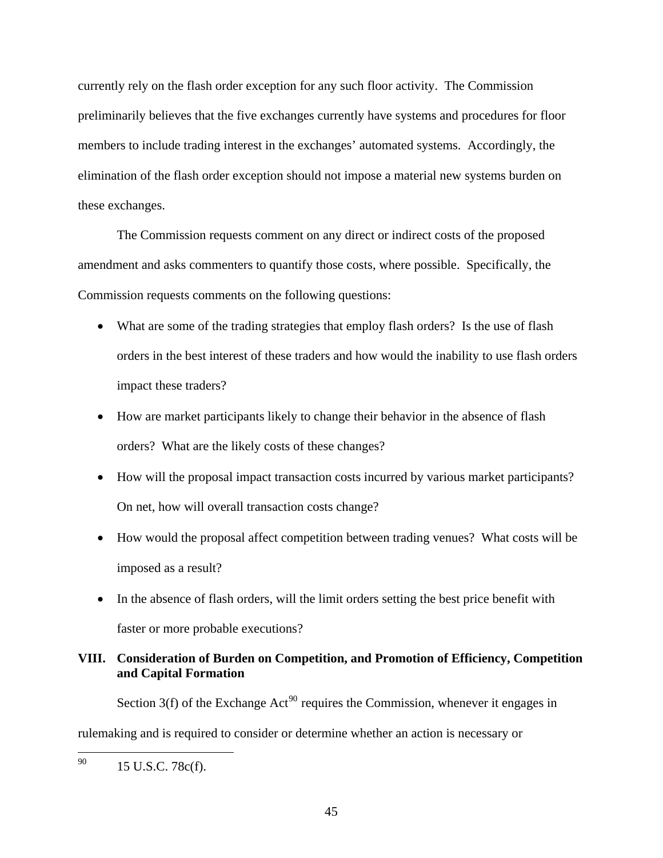currently rely on the flash order exception for any such floor activity. The Commission preliminarily believes that the five exchanges currently have systems and procedures for floor members to include trading interest in the exchanges' automated systems. Accordingly, the elimination of the flash order exception should not impose a material new systems burden on these exchanges.

The Commission requests comment on any direct or indirect costs of the proposed amendment and asks commenters to quantify those costs, where possible. Specifically, the Commission requests comments on the following questions:

- What are some of the trading strategies that employ flash orders? Is the use of flash orders in the best interest of these traders and how would the inability to use flash orders impact these traders?
- How are market participants likely to change their behavior in the absence of flash orders? What are the likely costs of these changes?
- How will the proposal impact transaction costs incurred by various market participants? On net, how will overall transaction costs change?
- How would the proposal affect competition between trading venues? What costs will be imposed as a result?
- In the absence of flash orders, will the limit orders setting the best price benefit with faster or more probable executions?

# **VIII. Consideration of Burden on Competition, and Promotion of Efficiency, Competition and Capital Formation**

Section  $3(f)$  of the Exchange Act<sup>[90](#page-44-0)</sup> requires the Commission, whenever it engages in

rulemaking and is required to consider or determine whether an action is necessary or

<span id="page-44-0"></span><sup>90</sup> 15 U.S.C. 78c(f).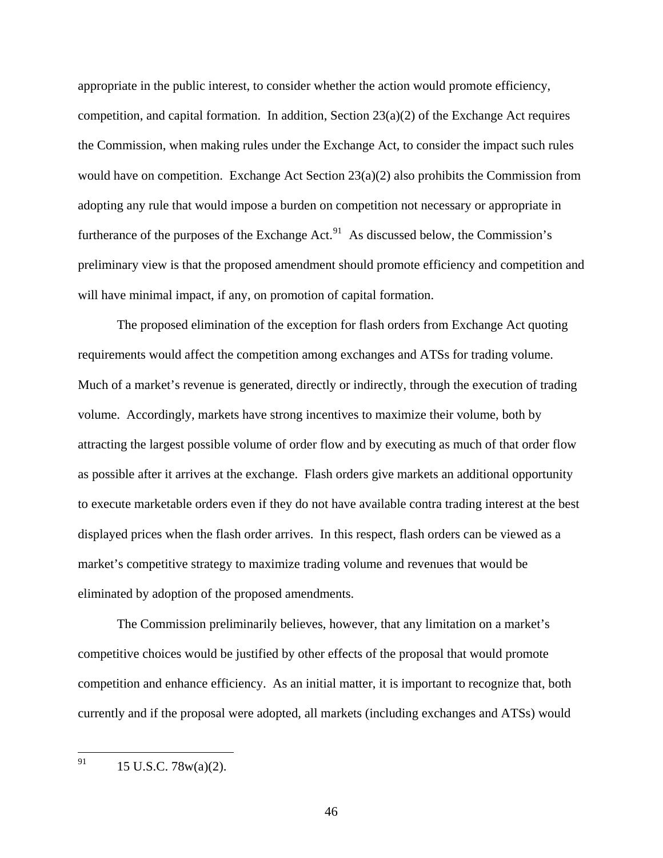appropriate in the public interest, to consider whether the action would promote efficiency, competition, and capital formation. In addition, Section  $23(a)(2)$  of the Exchange Act requires the Commission, when making rules under the Exchange Act, to consider the impact such rules would have on competition. Exchange Act Section 23(a)(2) also prohibits the Commission from adopting any rule that would impose a burden on competition not necessary or appropriate in furtherance of the purposes of the Exchange Act.<sup>[91](#page-45-0)</sup> As discussed below, the Commission's preliminary view is that the proposed amendment should promote efficiency and competition and will have minimal impact, if any, on promotion of capital formation.

 The proposed elimination of the exception for flash orders from Exchange Act quoting requirements would affect the competition among exchanges and ATSs for trading volume. Much of a market's revenue is generated, directly or indirectly, through the execution of trading volume. Accordingly, markets have strong incentives to maximize their volume, both by attracting the largest possible volume of order flow and by executing as much of that order flow as possible after it arrives at the exchange. Flash orders give markets an additional opportunity to execute marketable orders even if they do not have available contra trading interest at the best displayed prices when the flash order arrives. In this respect, flash orders can be viewed as a market's competitive strategy to maximize trading volume and revenues that would be eliminated by adoption of the proposed amendments.

 The Commission preliminarily believes, however, that any limitation on a market's competitive choices would be justified by other effects of the proposal that would promote competition and enhance efficiency. As an initial matter, it is important to recognize that, both currently and if the proposal were adopted, all markets (including exchanges and ATSs) would

<span id="page-45-0"></span><sup>91</sup> 15 U.S.C. 78w(a)(2).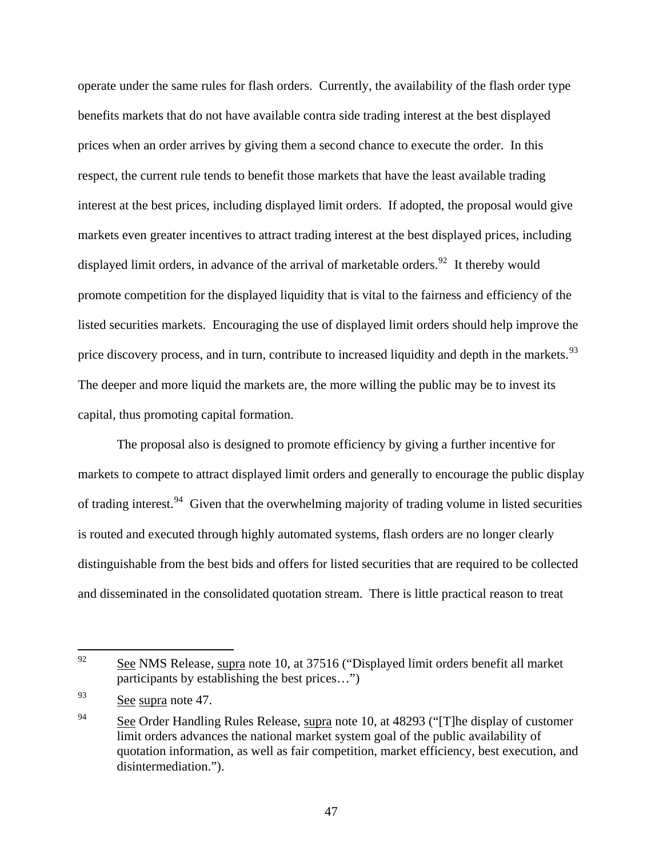operate under the same rules for flash orders. Currently, the availability of the flash order type benefits markets that do not have available contra side trading interest at the best displayed prices when an order arrives by giving them a second chance to execute the order. In this respect, the current rule tends to benefit those markets that have the least available trading interest at the best prices, including displayed limit orders. If adopted, the proposal would give markets even greater incentives to attract trading interest at the best displayed prices, including displayed limit orders, in advance of the arrival of marketable orders.<sup>[92](#page-46-0)</sup> It thereby would promote competition for the displayed liquidity that is vital to the fairness and efficiency of the listed securities markets. Encouraging the use of displayed limit orders should help improve the price discovery process, and in turn, contribute to increased liquidity and depth in the markets.<sup>[93](#page-46-1)</sup> The deeper and more liquid the markets are, the more willing the public may be to invest its capital, thus promoting capital formation.

 The proposal also is designed to promote efficiency by giving a further incentive for markets to compete to attract displayed limit orders and generally to encourage the public display of trading interest.<sup>[94](#page-46-2)</sup> Given that the overwhelming majority of trading volume in listed securities is routed and executed through highly automated systems, flash orders are no longer clearly distinguishable from the best bids and offers for listed securities that are required to be collected and disseminated in the consolidated quotation stream. There is little practical reason to treat

<span id="page-46-0"></span><sup>92</sup> See NMS Release, supra note 10, at 37516 ("Displayed limit orders benefit all market participants by establishing the best prices…")

<span id="page-46-1"></span> $\frac{93}{\text{See}}$  supra note 47.

<span id="page-46-2"></span><sup>&</sup>lt;sup>94</sup> See Order Handling Rules Release, supra note 10, at  $48293$  ("[T] he display of customer limit orders advances the national market system goal of the public availability of quotation information, as well as fair competition, market efficiency, best execution, and disintermediation.").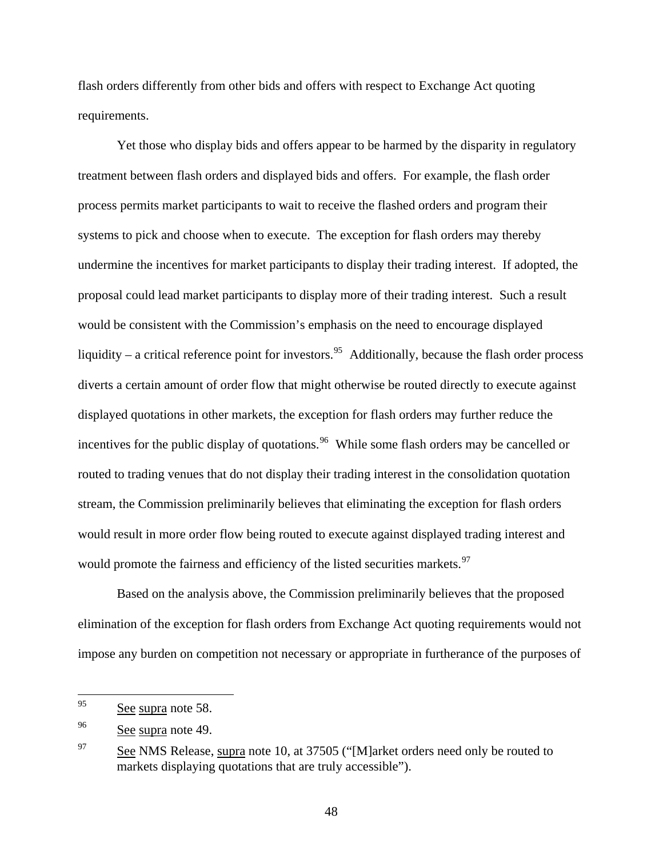flash orders differently from other bids and offers with respect to Exchange Act quoting requirements.

 Yet those who display bids and offers appear to be harmed by the disparity in regulatory treatment between flash orders and displayed bids and offers. For example, the flash order process permits market participants to wait to receive the flashed orders and program their systems to pick and choose when to execute. The exception for flash orders may thereby undermine the incentives for market participants to display their trading interest. If adopted, the proposal could lead market participants to display more of their trading interest. Such a result would be consistent with the Commission's emphasis on the need to encourage displayed liquidity – a critical reference point for investors.<sup>[95](#page-47-0)</sup> Additionally, because the flash order process diverts a certain amount of order flow that might otherwise be routed directly to execute against displayed quotations in other markets, the exception for flash orders may further reduce the incentives for the public display of quotations.<sup>[96](#page-47-1)</sup> While some flash orders may be cancelled or routed to trading venues that do not display their trading interest in the consolidation quotation stream, the Commission preliminarily believes that eliminating the exception for flash orders would result in more order flow being routed to execute against displayed trading interest and would promote the fairness and efficiency of the listed securities markets.<sup>[97](#page-47-2)</sup>

 Based on the analysis above, the Commission preliminarily believes that the proposed elimination of the exception for flash orders from Exchange Act quoting requirements would not impose any burden on competition not necessary or appropriate in furtherance of the purposes of

<span id="page-47-0"></span><sup>95</sup> See supra note 58.

<span id="page-47-1"></span><sup>&</sup>lt;sup>96</sup> See supra note 49.

<span id="page-47-2"></span><sup>&</sup>lt;sup>97</sup> See NMS Release, supra note 10, at 37505 ("[M]arket orders need only be routed to markets displaying quotations that are truly accessible").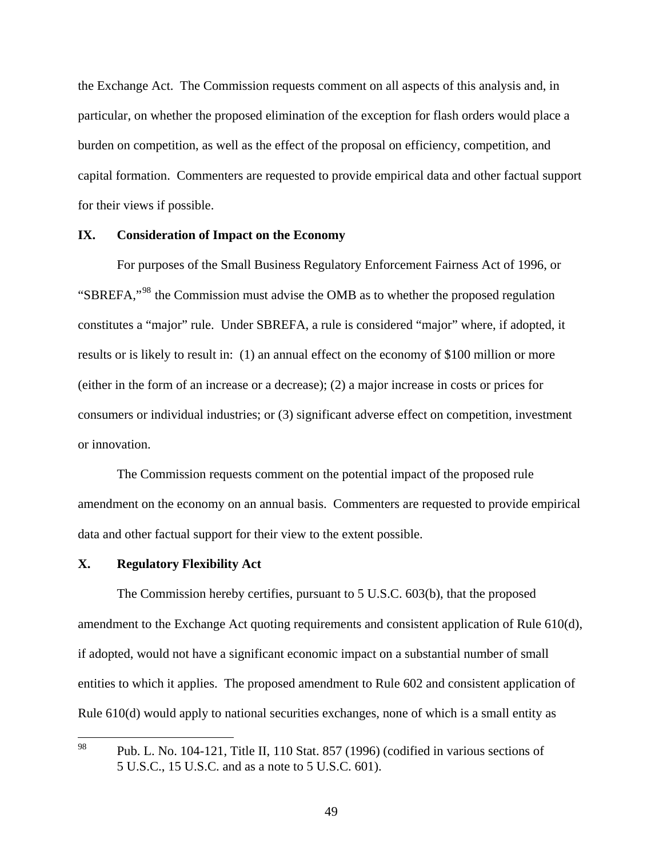the Exchange Act. The Commission requests comment on all aspects of this analysis and, in particular, on whether the proposed elimination of the exception for flash orders would place a burden on competition, as well as the effect of the proposal on efficiency, competition, and capital formation. Commenters are requested to provide empirical data and other factual support for their views if possible.

## **IX. Consideration of Impact on the Economy**

For purposes of the Small Business Regulatory Enforcement Fairness Act of 1996, or "SBREFA,"<sup>[98](#page-48-0)</sup> the Commission must advise the OMB as to whether the proposed regulation constitutes a "major" rule. Under SBREFA, a rule is considered "major" where, if adopted, it results or is likely to result in: (1) an annual effect on the economy of \$100 million or more (either in the form of an increase or a decrease); (2) a major increase in costs or prices for consumers or individual industries; or (3) significant adverse effect on competition, investment or innovation.

 The Commission requests comment on the potential impact of the proposed rule amendment on the economy on an annual basis. Commenters are requested to provide empirical data and other factual support for their view to the extent possible.

#### **X. Regulatory Flexibility Act**

 The Commission hereby certifies, pursuant to 5 U.S.C. 603(b), that the proposed amendment to the Exchange Act quoting requirements and consistent application of Rule 610(d), if adopted, would not have a significant economic impact on a substantial number of small entities to which it applies. The proposed amendment to Rule 602 and consistent application of Rule 610(d) would apply to national securities exchanges, none of which is a small entity as

<span id="page-48-0"></span><sup>98</sup> Pub. L. No. 104-121, Title II, 110 Stat. 857 (1996) (codified in various sections of 5 U.S.C., 15 U.S.C. and as a note to 5 U.S.C. 601).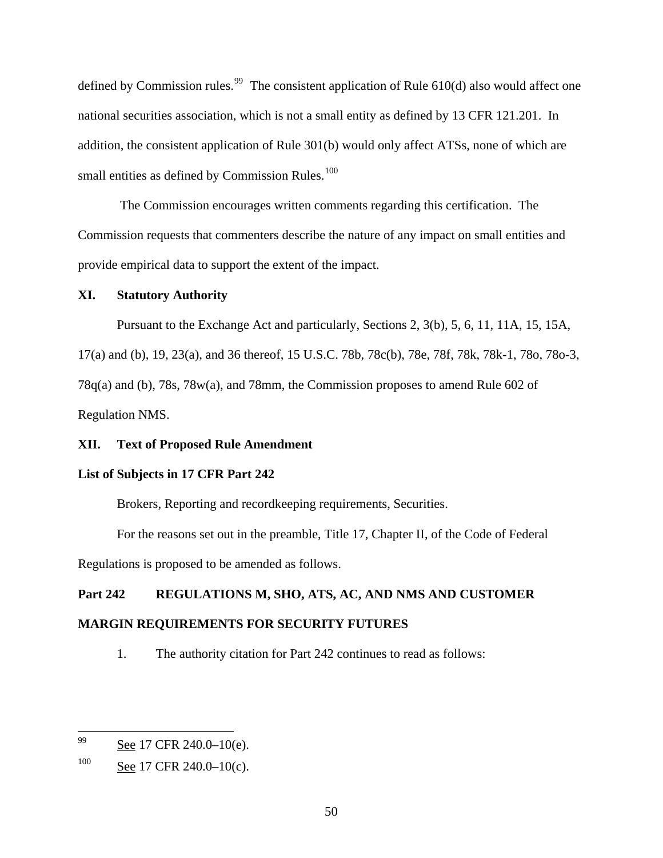defined by Commission rules.<sup>[99](#page-49-0)</sup> The consistent application of Rule  $610(d)$  also would affect one national securities association, which is not a small entity as defined by 13 CFR 121.201. In addition, the consistent application of Rule 301(b) would only affect ATSs, none of which are small entities as defined by Commission Rules.<sup>[100](#page-49-1)</sup>

 The Commission encourages written comments regarding this certification. The Commission requests that commenters describe the nature of any impact on small entities and provide empirical data to support the extent of the impact.

## **XI. Statutory Authority**

Pursuant to the Exchange Act and particularly, Sections 2, 3(b), 5, 6, 11, 11A, 15, 15A,

17(a) and (b), 19, 23(a), and 36 thereof, 15 U.S.C. 78b, 78c(b), 78e, 78f, 78k, 78k-1, 78o, 78o-3, 78q(a) and (b), 78s, 78w(a), and 78mm, the Commission proposes to amend Rule 602 of Regulation NMS.

## **XII. Text of Proposed Rule Amendment**

## **List of Subjects in 17 CFR Part 242**

Brokers, Reporting and recordkeeping requirements, Securities.

 For the reasons set out in the preamble, Title 17, Chapter II, of the Code of Federal Regulations is proposed to be amended as follows.

# **Part 242 REGULATIONS M, SHO, ATS, AC, AND NMS AND CUSTOMER MARGIN REQUIREMENTS FOR SECURITY FUTURES**

1. The authority citation for Part 242 continues to read as follows:

<span id="page-49-0"></span><sup>99</sup> See 17 CFR 240.0–10(e).

<span id="page-49-1"></span> $100$  See 17 CFR 240.0–10(c).